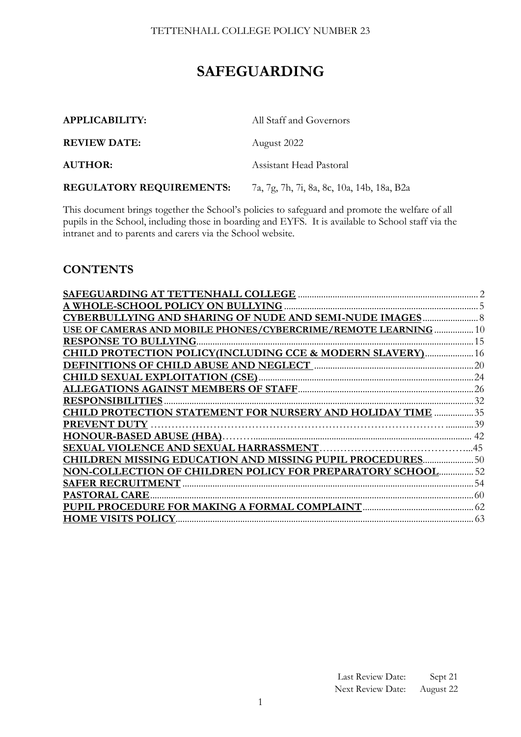# **SAFEGUARDING**

| <b>APPLICABILITY:</b>           | All Staff and Governors                    |  |  |
|---------------------------------|--------------------------------------------|--|--|
| <b>REVIEW DATE:</b>             | August 2022                                |  |  |
| <b>AUTHOR:</b>                  | Assistant Head Pastoral                    |  |  |
| <b>REGULATORY REQUIREMENTS:</b> | 7a, 7g, 7h, 7i, 8a, 8c, 10a, 14b, 18a, B2a |  |  |

This document brings together the School's policies to safeguard and promote the welfare of all pupils in the School, including those in boarding and EYFS. It is available to School staff via the intranet and to parents and carers via the School website.

# **CONTENTS**

| SAFEGUARDING AT TETTENHALL COLLEGE.                            |      |
|----------------------------------------------------------------|------|
| A WHOLE-SCHOOL POLICY ON BULLYING                              |      |
| <b>CYBERBULLYING AND SHARING OF NUDE AND SEMI-NUDE IMAGES</b>  |      |
| USE OF CAMERAS AND MOBILE PHONES/CYBERCRIME/REMOTE LEARNING    | .10  |
| <b>RESPONSE TO BULLYING.</b>                                   | .15  |
| CHILD PROTECTION POLICY (INCLUDING CCE & MODERN SLAVERY)       | .16  |
|                                                                |      |
| <b>CHILD SEXUAL EXPLOITATION (CSE)</b>                         |      |
|                                                                |      |
| <b>RESPONSIBILITIES</b>                                        | 32   |
| CHILD PROTECTION STATEMENT FOR NURSERY AND HOLIDAY TIME  35    |      |
|                                                                |      |
|                                                                | .42  |
|                                                                |      |
| <b>CHILDREN MISSING EDUCATION AND MISSING PUPIL PROCEDURES</b> | . 50 |
| NON-COLLECTION OF CHILDREN POLICY FOR PREPARATORY SCHOOL       | 52   |
|                                                                |      |
| PASTORAL CARE                                                  |      |
|                                                                |      |
| <b>HOME VISITS POLICY</b>                                      |      |
|                                                                |      |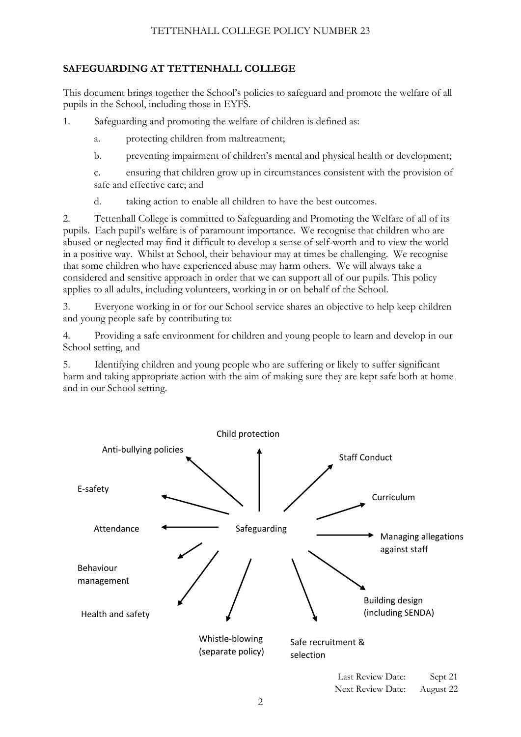# <span id="page-1-0"></span>**SAFEGUARDING AT TETTENHALL COLLEGE**

This document brings together the School's policies to safeguard and promote the welfare of all pupils in the School, including those in EYFS.

1. Safeguarding and promoting the welfare of children is defined as:

a. protecting children from maltreatment;

b. preventing impairment of children's mental and physical health or development;

c. ensuring that children grow up in circumstances consistent with the provision of safe and effective care; and

d. taking action to enable all children to have the best outcomes.

2. Tettenhall College is committed to Safeguarding and Promoting the Welfare of all of its pupils. Each pupil's welfare is of paramount importance. We recognise that children who are abused or neglected may find it difficult to develop a sense of self-worth and to view the world in a positive way. Whilst at School, their behaviour may at times be challenging. We recognise that some children who have experienced abuse may harm others. We will always take a considered and sensitive approach in order that we can support all of our pupils. This policy applies to all adults, including volunteers, working in or on behalf of the School.

3. Everyone working in or for our School service shares an objective to help keep children and young people safe by contributing to:

4. Providing a safe environment for children and young people to learn and develop in our School setting, and

5. Identifying children and young people who are suffering or likely to suffer significant harm and taking appropriate action with the aim of making sure they are kept safe both at home and in our School setting.

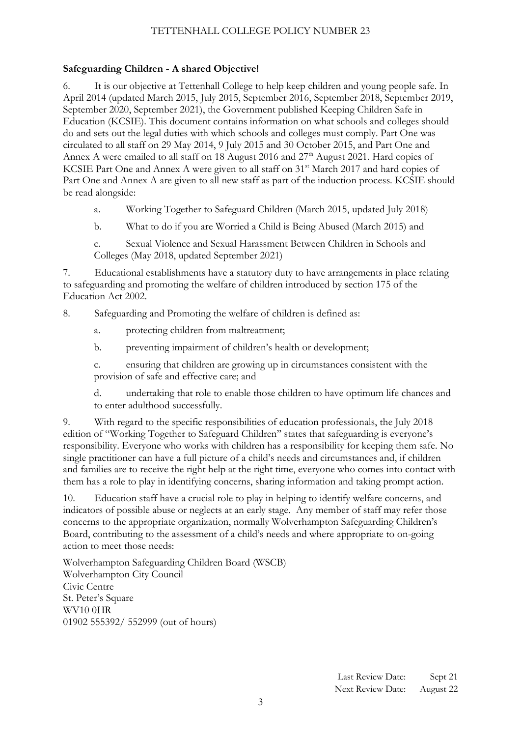# **Safeguarding Children - A shared Objective!**

6. It is our objective at Tettenhall College to help keep children and young people safe. In April 2014 (updated March 2015, July 2015, September 2016, September 2018, September 2019, September 2020, September 2021), the Government published Keeping Children Safe in Education (KCSIE). This document contains information on what schools and colleges should do and sets out the legal duties with which schools and colleges must comply. Part One was circulated to all staff on 29 May 2014, 9 July 2015 and 30 October 2015, and Part One and Annex A were emailed to all staff on 18 August 2016 and 27<sup>th</sup> August 2021. Hard copies of KCSIE Part One and Annex A were given to all staff on 31<sup>st</sup> March 2017 and hard copies of Part One and Annex A are given to all new staff as part of the induction process. KCSIE should be read alongside:

a. Working Together to Safeguard Children (March 2015, updated July 2018)

b. What to do if you are Worried a Child is Being Abused (March 2015) and

c. Sexual Violence and Sexual Harassment Between Children in Schools and Colleges (May 2018, updated September 2021)

7. Educational establishments have a statutory duty to have arrangements in place relating to safeguarding and promoting the welfare of children introduced by section 175 of the Education Act 2002.

8. Safeguarding and Promoting the welfare of children is defined as:

a. protecting children from maltreatment;

b. preventing impairment of children's health or development;

c. ensuring that children are growing up in circumstances consistent with the provision of safe and effective care; and

d. undertaking that role to enable those children to have optimum life chances and to enter adulthood successfully.

9. With regard to the specific responsibilities of education professionals, the July 2018 edition of "Working Together to Safeguard Children'' states that safeguarding is everyone's responsibility. Everyone who works with children has a responsibility for keeping them safe. No single practitioner can have a full picture of a child's needs and circumstances and, if children and families are to receive the right help at the right time, everyone who comes into contact with them has a role to play in identifying concerns, sharing information and taking prompt action.

10. Education staff have a crucial role to play in helping to identify welfare concerns, and indicators of possible abuse or neglects at an early stage. Any member of staff may refer those concerns to the appropriate organization, normally Wolverhampton Safeguarding Children's Board, contributing to the assessment of a child's needs and where appropriate to on-going action to meet those needs:

Wolverhampton Safeguarding Children Board (WSCB) Wolverhampton City Council Civic Centre St. Peter's Square WV10 0HR 01902 555392/ 552999 (out of hours)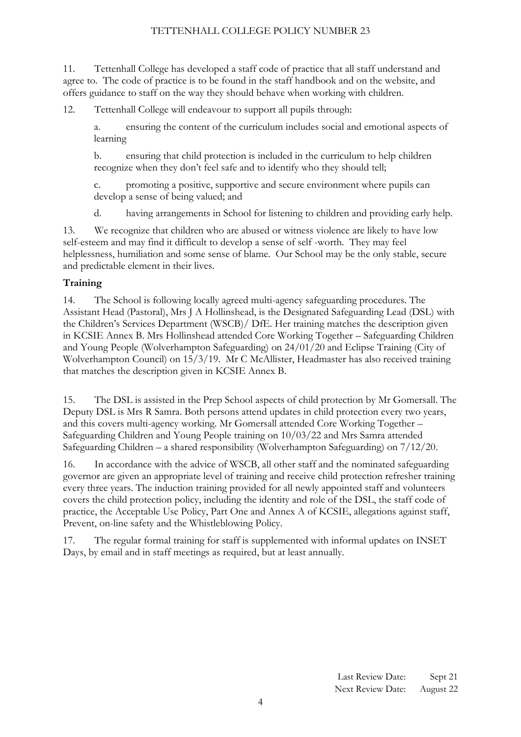11. Tettenhall College has developed a staff code of practice that all staff understand and agree to. The code of practice is to be found in the staff handbook and on the website, and offers guidance to staff on the way they should behave when working with children.

12. Tettenhall College will endeavour to support all pupils through:

a. ensuring the content of the curriculum includes social and emotional aspects of learning

b. ensuring that child protection is included in the curriculum to help children recognize when they don't feel safe and to identify who they should tell;

c. promoting a positive, supportive and secure environment where pupils can develop a sense of being valued; and

d. having arrangements in School for listening to children and providing early help.

13. We recognize that children who are abused or witness violence are likely to have low self-esteem and may find it difficult to develop a sense of self -worth. They may feel helplessness, humiliation and some sense of blame. Our School may be the only stable, secure and predictable element in their lives.

#### **Training**

14. The School is following locally agreed multi-agency safeguarding procedures. The Assistant Head (Pastoral), Mrs J A Hollinshead, is the Designated Safeguarding Lead (DSL) with the Children's Services Department (WSCB)/ DfE. Her training matches the description given in KCSIE Annex B. Mrs Hollinshead attended Core Working Together – Safeguarding Children and Young People (Wolverhampton Safeguarding) on 24/01/20 and Eclipse Training (City of Wolverhampton Council) on 15/3/19. Mr C McAllister, Headmaster has also received training that matches the description given in KCSIE Annex B.

15. The DSL is assisted in the Prep School aspects of child protection by Mr Gomersall. The Deputy DSL is Mrs R Samra. Both persons attend updates in child protection every two years, and this covers multi-agency working. Mr Gomersall attended Core Working Together – Safeguarding Children and Young People training on 10/03/22 and Mrs Samra attended Safeguarding Children – a shared responsibility (Wolverhampton Safeguarding) on 7/12/20..

16. In accordance with the advice of WSCB, all other staff and the nominated safeguarding governor are given an appropriate level of training and receive child protection refresher training every three years. The induction training provided for all newly appointed staff and volunteers covers the child protection policy, including the identity and role of the DSL, the staff code of practice, the Acceptable Use Policy, Part One and Annex A of KCSIE, allegations against staff, Prevent, on-line safety and the Whistleblowing Policy.

17. The regular formal training for staff is supplemented with informal updates on INSET Days, by email and in staff meetings as required, but at least annually.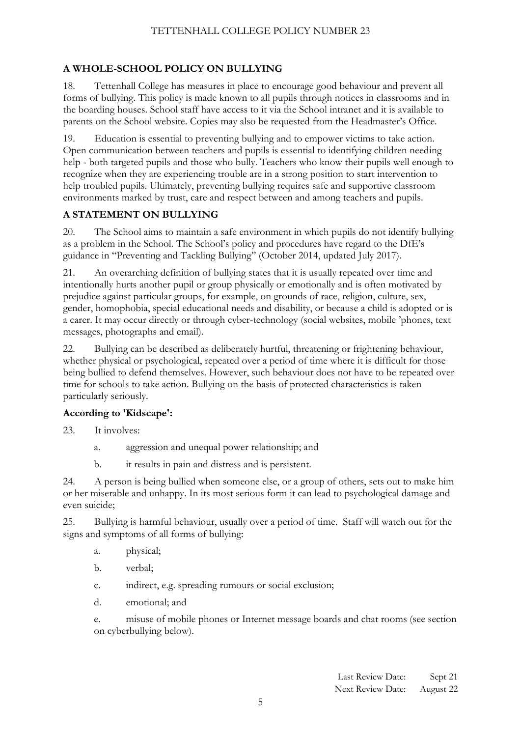# <span id="page-4-0"></span>**A WHOLE-SCHOOL POLICY ON BULLYING**

18. Tettenhall College has measures in place to encourage good behaviour and prevent all forms of bullying. This policy is made known to all pupils through notices in classrooms and in the boarding houses. School staff have access to it via the School intranet and it is available to parents on the School website. Copies may also be requested from the Headmaster's Office.

19. Education is essential to preventing bullying and to empower victims to take action. Open communication between teachers and pupils is essential to identifying children needing help - both targeted pupils and those who bully. Teachers who know their pupils well enough to recognize when they are experiencing trouble are in a strong position to start intervention to help troubled pupils. Ultimately, preventing bullying requires safe and supportive classroom environments marked by trust, care and respect between and among teachers and pupils.

# **A STATEMENT ON BULLYING**

20. The School aims to maintain a safe environment in which pupils do not identify bullying as a problem in the School. The School's policy and procedures have regard to the DfE's guidance in ''Preventing and Tackling Bullying'' (October 2014, updated July 2017).

21. An overarching definition of bullying states that it is usually repeated over time and intentionally hurts another pupil or group physically or emotionally and is often motivated by prejudice against particular groups, for example, on grounds of race, religion, culture, sex, gender, homophobia, special educational needs and disability, or because a child is adopted or is a carer. It may occur directly or through cyber-technology (social websites, mobile 'phones, text messages, photographs and email).

22. Bullying can be described as deliberately hurtful, threatening or frightening behaviour, whether physical or psychological, repeated over a period of time where it is difficult for those being bullied to defend themselves. However, such behaviour does not have to be repeated over time for schools to take action. Bullying on the basis of protected characteristics is taken particularly seriously.

# **According to 'Kidscape':**

23. It involves:

- a. aggression and unequal power relationship; and
- b. it results in pain and distress and is persistent.

24. A person is being bullied when someone else, or a group of others, sets out to make him or her miserable and unhappy. In its most serious form it can lead to psychological damage and even suicide;

25. Bullying is harmful behaviour, usually over a period of time. Staff will watch out for the signs and symptoms of all forms of bullying:

- a. physical;
- b. verbal;
- c. indirect, e.g. spreading rumours or social exclusion;
- d. emotional; and

e. misuse of mobile phones or Internet message boards and chat rooms (see section on cyberbullying below).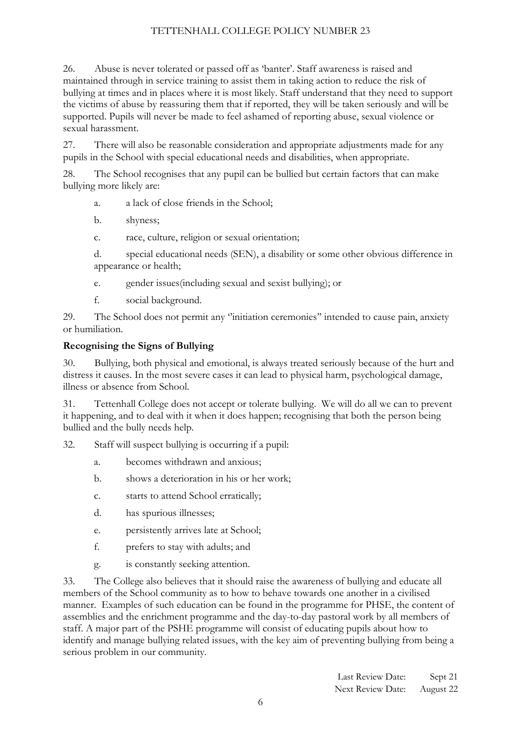26. Abuse is never tolerated or passed off as 'banter'. Staff awareness is raised and maintained through in service training to assist them in taking action to reduce the risk of bullying at times and in places where it is most likely. Staff understand that they need to support the victims of abuse by reassuring them that if reported, they will be taken seriously and will be supported. Pupils will never be made to feel ashamed of reporting abuse, sexual violence or sexual harassment.

27. There will also be reasonable consideration and appropriate adjustments made for any pupils in the School with special educational needs and disabilities, when appropriate.

28. The School recognises that any pupil can be bullied but certain factors that can make bullying more likely are:

- a. a lack of close friends in the School;
- b. shyness;
- c. race, culture, religion or sexual orientation;
- d. special educational needs (SEN), a disability or some other obvious difference in appearance or health;
- e. gender issues(including sexual and sexist bullying); or
- f. social background.

29. The School does not permit any ''initiation ceremonies'' intended to cause pain, anxiety or humiliation.

# **Recognising the Signs of Bullying**

30. Bullying, both physical and emotional, is always treated seriously because of the hurt and distress it causes. In the most severe cases it can lead to physical harm, psychological damage, illness or absence from School.

31. Tettenhall College does not accept or tolerate bullying. We will do all we can to prevent it happening, and to deal with it when it does happen; recognising that both the person being bullied and the bully needs help.

32. Staff will suspect bullying is occurring if a pupil:

- a. becomes withdrawn and anxious;
- b. shows a deterioration in his or her work;
- c. starts to attend School erratically;
- d. has spurious illnesses;
- e. persistently arrives late at School;
- f. prefers to stay with adults; and
- g. is constantly seeking attention.

33. The College also believes that it should raise the awareness of bullying and educate all members of the School community as to how to behave towards one another in a civilised manner. Examples of such education can be found in the programme for PHSE, the content of assemblies and the enrichment programme and the day-to-day pastoral work by all members of staff. A major part of the PSHE programme will consist of educating pupils about how to identify and manage bullying related issues, with the key aim of preventing bullying from being a serious problem in our community.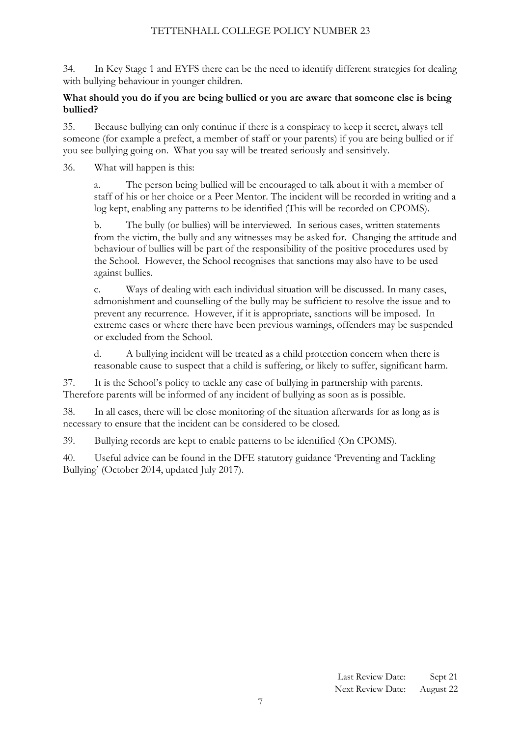34. In Key Stage 1 and EYFS there can be the need to identify different strategies for dealing with bullying behaviour in younger children.

#### **What should you do if you are being bullied or you are aware that someone else is being bullied?**

35. Because bullying can only continue if there is a conspiracy to keep it secret, always tell someone (for example a prefect, a member of staff or your parents) if you are being bullied or if you see bullying going on. What you say will be treated seriously and sensitively.

36. What will happen is this:

a. The person being bullied will be encouraged to talk about it with a member of staff of his or her choice or a Peer Mentor. The incident will be recorded in writing and a log kept, enabling any patterns to be identified (This will be recorded on CPOMS).

b. The bully (or bullies) will be interviewed. In serious cases, written statements from the victim, the bully and any witnesses may be asked for. Changing the attitude and behaviour of bullies will be part of the responsibility of the positive procedures used by the School. However, the School recognises that sanctions may also have to be used against bullies.

c. Ways of dealing with each individual situation will be discussed. In many cases, admonishment and counselling of the bully may be sufficient to resolve the issue and to prevent any recurrence. However, if it is appropriate, sanctions will be imposed. In extreme cases or where there have been previous warnings, offenders may be suspended or excluded from the School.

d. A bullying incident will be treated as a child protection concern when there is reasonable cause to suspect that a child is suffering, or likely to suffer, significant harm.

37. It is the School's policy to tackle any case of bullying in partnership with parents. Therefore parents will be informed of any incident of bullying as soon as is possible.

38. In all cases, there will be close monitoring of the situation afterwards for as long as is necessary to ensure that the incident can be considered to be closed.

39. Bullying records are kept to enable patterns to be identified (On CPOMS).

<span id="page-6-0"></span>40. Useful advice can be found in the DFE statutory guidance 'Preventing and Tackling Bullying' (October 2014, updated July 2017).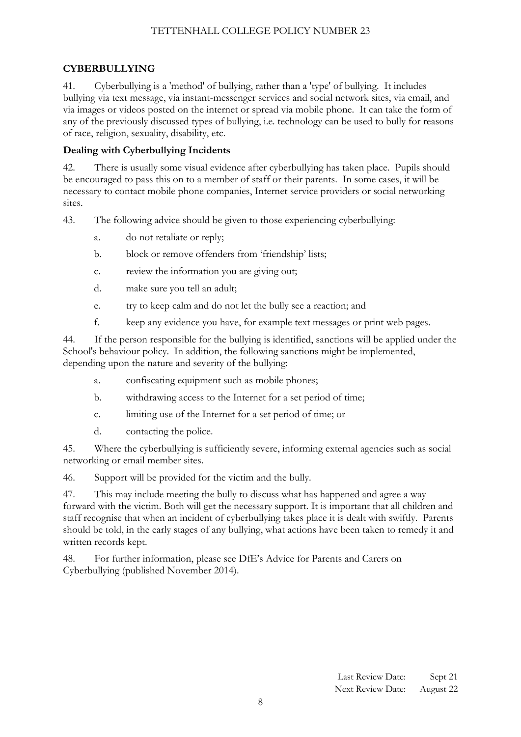### **CYBERBULLYING**

41. Cyberbullying is a 'method' of bullying, rather than a 'type' of bullying. It includes bullying via text message, via instant-messenger services and social network sites, via email, and via images or videos posted on the internet or spread via mobile phone. It can take the form of any of the previously discussed types of bullying, i.e. technology can be used to bully for reasons of race, religion, sexuality, disability, etc.

#### **Dealing with Cyberbullying Incidents**

42. There is usually some visual evidence after cyberbullying has taken place. Pupils should be encouraged to pass this on to a member of staff or their parents. In some cases, it will be necessary to contact mobile phone companies, Internet service providers or social networking sites.

43. The following advice should be given to those experiencing cyberbullying:

- a. do not retaliate or reply;
- b. block or remove offenders from 'friendship' lists;
- c. review the information you are giving out;
- d. make sure you tell an adult;
- e. try to keep calm and do not let the bully see a reaction; and
- f. keep any evidence you have, for example text messages or print web pages.

44. If the person responsible for the bullying is identified, sanctions will be applied under the School's behaviour policy. In addition, the following sanctions might be implemented, depending upon the nature and severity of the bullying:

- a. confiscating equipment such as mobile phones;
- b. withdrawing access to the Internet for a set period of time;
- c. limiting use of the Internet for a set period of time; or
- d. contacting the police.

45. Where the cyberbullying is sufficiently severe, informing external agencies such as social networking or email member sites.

46. Support will be provided for the victim and the bully.

47. This may include meeting the bully to discuss what has happened and agree a way forward with the victim. Both will get the necessary support. It is important that all children and staff recognise that when an incident of cyberbullying takes place it is dealt with swiftly. Parents should be told, in the early stages of any bullying, what actions have been taken to remedy it and written records kept.

48. For further information, please see DfE's Advice for Parents and Carers on Cyberbullying (published November 2014).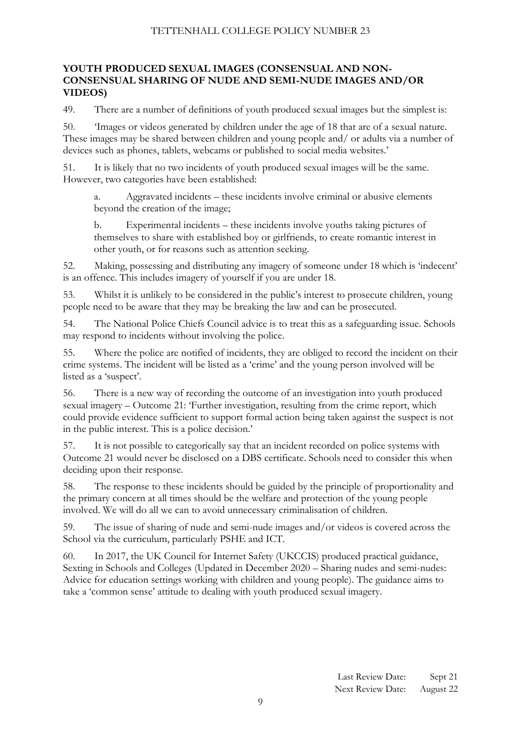#### **YOUTH PRODUCED SEXUAL IMAGES (CONSENSUAL AND NON-CONSENSUAL SHARING OF NUDE AND SEMI-NUDE IMAGES AND/OR VIDEOS)**

49. There are a number of definitions of youth produced sexual images but the simplest is:

50. 'Images or videos generated by children under the age of 18 that are of a sexual nature. These images may be shared between children and young people and/ or adults via a number of devices such as phones, tablets, webcams or published to social media websites.'

51. It is likely that no two incidents of youth produced sexual images will be the same. However, two categories have been established:

a. Aggravated incidents – these incidents involve criminal or abusive elements beyond the creation of the image;

b. Experimental incidents – these incidents involve youths taking pictures of themselves to share with established boy or girlfriends, to create romantic interest in other youth, or for reasons such as attention seeking.

52. Making, possessing and distributing any imagery of someone under 18 which is 'indecent' is an offence. This includes imagery of yourself if you are under 18.

53. Whilst it is unlikely to be considered in the public's interest to prosecute children, young people need to be aware that they may be breaking the law and can be prosecuted.

54. The National Police Chiefs Council advice is to treat this as a safeguarding issue. Schools may respond to incidents without involving the police.

55. Where the police are notified of incidents, they are obliged to record the incident on their crime systems. The incident will be listed as a 'crime' and the young person involved will be listed as a 'suspect'.

56. There is a new way of recording the outcome of an investigation into youth produced sexual imagery – Outcome 21: 'Further investigation, resulting from the crime report, which could provide evidence sufficient to support formal action being taken against the suspect is not in the public interest. This is a police decision.'

57. It is not possible to categorically say that an incident recorded on police systems with Outcome 21 would never be disclosed on a DBS certificate. Schools need to consider this when deciding upon their response.

58. The response to these incidents should be guided by the principle of proportionality and the primary concern at all times should be the welfare and protection of the young people involved. We will do all we can to avoid unnecessary criminalisation of children.

59. The issue of sharing of nude and semi-nude images and/or videos is covered across the School via the curriculum, particularly PSHE and ICT.

<span id="page-8-0"></span>60. In 2017, the UK Council for Internet Safety (UKCCIS) produced practical guidance, Sexting in Schools and Colleges (Updated in December 2020 – Sharing nudes and semi-nudes: Advice for education settings working with children and young people). The guidance aims to take a 'common sense' attitude to dealing with youth produced sexual imagery.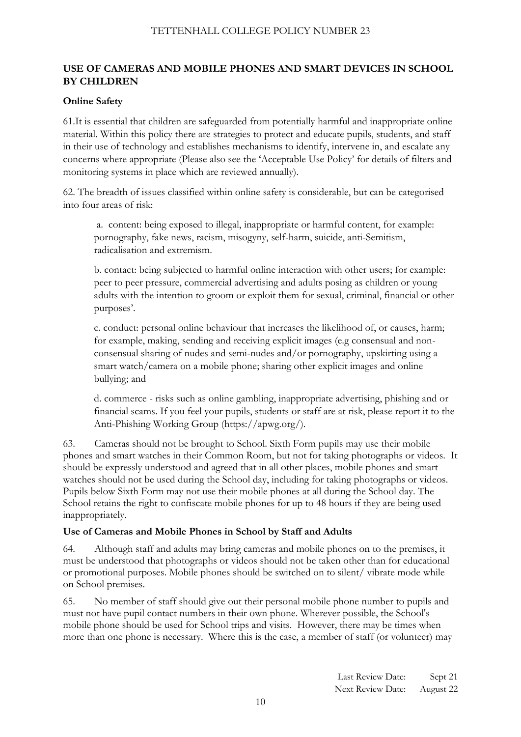# **USE OF CAMERAS AND MOBILE PHONES AND SMART DEVICES IN SCHOOL BY CHILDREN**

# **Online Safety**

61.It is essential that children are safeguarded from potentially harmful and inappropriate online material. Within this policy there are strategies to protect and educate pupils, students, and staff in their use of technology and establishes mechanisms to identify, intervene in, and escalate any concerns where appropriate (Please also see the 'Acceptable Use Policy' for details of filters and monitoring systems in place which are reviewed annually).

62. The breadth of issues classified within online safety is considerable, but can be categorised into four areas of risk:

a. content: being exposed to illegal, inappropriate or harmful content, for example: pornography, fake news, racism, misogyny, self-harm, suicide, anti-Semitism, radicalisation and extremism.

b. contact: being subjected to harmful online interaction with other users; for example: peer to peer pressure, commercial advertising and adults posing as children or young adults with the intention to groom or exploit them for sexual, criminal, financial or other purposes'.

c. conduct: personal online behaviour that increases the likelihood of, or causes, harm; for example, making, sending and receiving explicit images (e.g consensual and nonconsensual sharing of nudes and semi-nudes and/or pornography, upskirting using a smart watch/camera on a mobile phone; sharing other explicit images and online bullying; and

d. commerce - risks such as online gambling, inappropriate advertising, phishing and or financial scams. If you feel your pupils, students or staff are at risk, please report it to the Anti-Phishing Working Group (https://apwg.org/).

63. Cameras should not be brought to School. Sixth Form pupils may use their mobile phones and smart watches in their Common Room, but not for taking photographs or videos. It should be expressly understood and agreed that in all other places, mobile phones and smart watches should not be used during the School day, including for taking photographs or videos. Pupils below Sixth Form may not use their mobile phones at all during the School day. The School retains the right to confiscate mobile phones for up to 48 hours if they are being used inappropriately.

# **Use of Cameras and Mobile Phones in School by Staff and Adults**

64. Although staff and adults may bring cameras and mobile phones on to the premises, it must be understood that photographs or videos should not be taken other than for educational or promotional purposes. Mobile phones should be switched on to silent/ vibrate mode while on School premises.

65. No member of staff should give out their personal mobile phone number to pupils and must not have pupil contact numbers in their own phone. Wherever possible, the School's mobile phone should be used for School trips and visits. However, there may be times when more than one phone is necessary. Where this is the case, a member of staff (or volunteer) may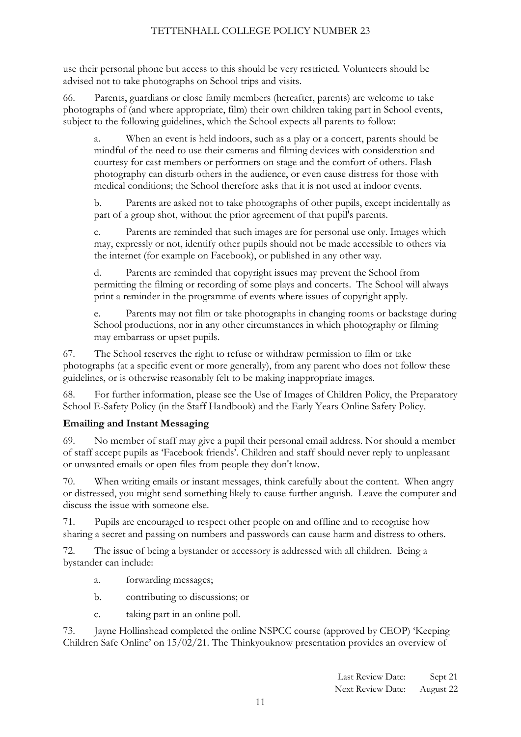use their personal phone but access to this should be very restricted. Volunteers should be advised not to take photographs on School trips and visits.

66. Parents, guardians or close family members (hereafter, parents) are welcome to take photographs of (and where appropriate, film) their own children taking part in School events, subject to the following guidelines, which the School expects all parents to follow:

a. When an event is held indoors, such as a play or a concert, parents should be mindful of the need to use their cameras and filming devices with consideration and courtesy for cast members or performers on stage and the comfort of others. Flash photography can disturb others in the audience, or even cause distress for those with medical conditions; the School therefore asks that it is not used at indoor events.

b. Parents are asked not to take photographs of other pupils, except incidentally as part of a group shot, without the prior agreement of that pupil's parents.

c. Parents are reminded that such images are for personal use only. Images which may, expressly or not, identify other pupils should not be made accessible to others via the internet (for example on Facebook), or published in any other way.

Parents are reminded that copyright issues may prevent the School from permitting the filming or recording of some plays and concerts. The School will always print a reminder in the programme of events where issues of copyright apply.

e. Parents may not film or take photographs in changing rooms or backstage during School productions, nor in any other circumstances in which photography or filming may embarrass or upset pupils.

67. The School reserves the right to refuse or withdraw permission to film or take photographs (at a specific event or more generally), from any parent who does not follow these guidelines, or is otherwise reasonably felt to be making inappropriate images.

68. For further information, please see the Use of Images of Children Policy, the Preparatory School E-Safety Policy (in the Staff Handbook) and the Early Years Online Safety Policy.

# **Emailing and Instant Messaging**

69. No member of staff may give a pupil their personal email address. Nor should a member of staff accept pupils as 'Facebook friends'. Children and staff should never reply to unpleasant or unwanted emails or open files from people they don't know.

70. When writing emails or instant messages, think carefully about the content. When angry or distressed, you might send something likely to cause further anguish. Leave the computer and discuss the issue with someone else.

71. Pupils are encouraged to respect other people on and offline and to recognise how sharing a secret and passing on numbers and passwords can cause harm and distress to others.

72. The issue of being a bystander or accessory is addressed with all children. Being a bystander can include:

- a. forwarding messages;
- b. contributing to discussions; or
- c. taking part in an online poll.

73. Jayne Hollinshead completed the online NSPCC course (approved by CEOP) 'Keeping Children Safe Online' on 15/02/21. The Thinkyouknow presentation provides an overview of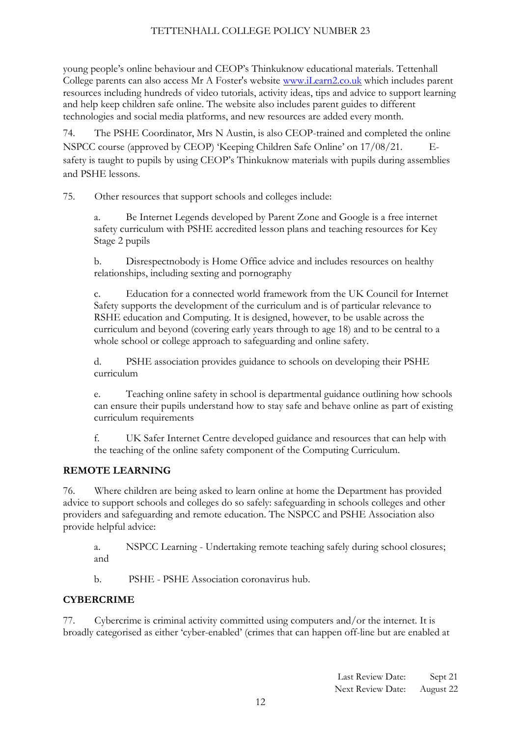young people's online behaviour and CEOP's Thinkuknow educational materials. Tettenhall College parents can also access Mr A Foster's website [www.iLearn2.co.uk](http://www.ilearn2.co.uk/) which includes parent resources including hundreds of video tutorials, activity ideas, tips and advice to support learning and help keep children safe online. The website also includes parent guides to different technologies and social media platforms, and new resources are added every month.

74. The PSHE Coordinator, Mrs N Austin, is also CEOP-trained and completed the online NSPCC course (approved by CEOP) 'Keeping Children Safe Online' on 17/08/21. safety is taught to pupils by using CEOP's Thinkuknow materials with pupils during assemblies and PSHE lessons.

75. Other resources that support schools and colleges include:

a. Be Internet Legends developed by Parent Zone and Google is a free internet safety curriculum with PSHE accredited lesson plans and teaching resources for Key Stage 2 pupils

b. Disrespectnobody is Home Office advice and includes resources on healthy relationships, including sexting and pornography

c. Education for a connected world framework from the UK Council for Internet Safety supports the development of the curriculum and is of particular relevance to RSHE education and Computing. It is designed, however, to be usable across the curriculum and beyond (covering early years through to age 18) and to be central to a whole school or college approach to safeguarding and online safety.

d. PSHE association provides guidance to schools on developing their PSHE curriculum

e. Teaching online safety in school is departmental guidance outlining how schools can ensure their pupils understand how to stay safe and behave online as part of existing curriculum requirements

f. UK Safer Internet Centre developed guidance and resources that can help with the teaching of the online safety component of the Computing Curriculum.

# **REMOTE LEARNING**

76. Where children are being asked to learn online at home the Department has provided advice to support schools and colleges do so safely: safeguarding in schools colleges and other providers and safeguarding and remote education. The NSPCC and PSHE Association also provide helpful advice:

a. NSPCC Learning - Undertaking remote teaching safely during school closures; and

b. PSHE - PSHE Association coronavirus hub.

# **CYBERCRIME**

77. Cybercrime is criminal activity committed using computers and/or the internet. It is broadly categorised as either 'cyber-enabled' (crimes that can happen off-line but are enabled at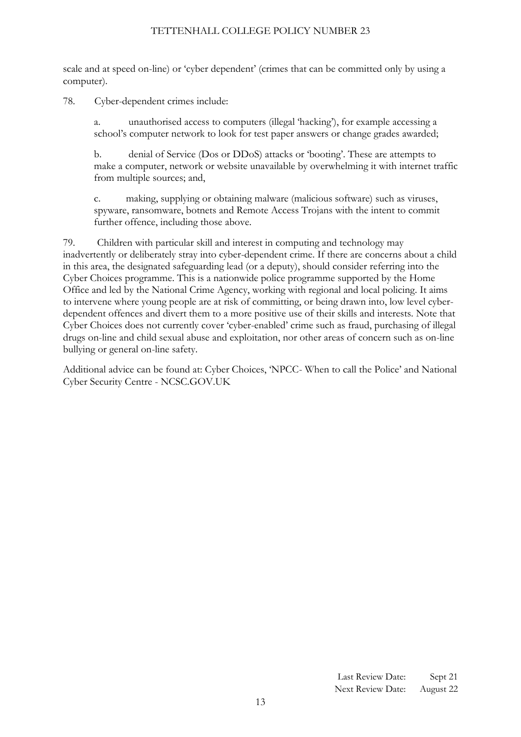scale and at speed on-line) or 'cyber dependent' (crimes that can be committed only by using a computer).

78. Cyber-dependent crimes include:

a. unauthorised access to computers (illegal 'hacking'), for example accessing a school's computer network to look for test paper answers or change grades awarded;

b. denial of Service (Dos or DDoS) attacks or 'booting'. These are attempts to make a computer, network or website unavailable by overwhelming it with internet traffic from multiple sources; and,

c. making, supplying or obtaining malware (malicious software) such as viruses, spyware, ransomware, botnets and Remote Access Trojans with the intent to commit further offence, including those above.

79. Children with particular skill and interest in computing and technology may inadvertently or deliberately stray into cyber-dependent crime. If there are concerns about a child in this area, the designated safeguarding lead (or a deputy), should consider referring into the Cyber Choices programme. This is a nationwide police programme supported by the Home Office and led by the National Crime Agency, working with regional and local policing. It aims to intervene where young people are at risk of committing, or being drawn into, low level cyberdependent offences and divert them to a more positive use of their skills and interests. Note that Cyber Choices does not currently cover 'cyber-enabled' crime such as fraud, purchasing of illegal drugs on-line and child sexual abuse and exploitation, nor other areas of concern such as on-line bullying or general on-line safety.

Additional advice can be found at: Cyber Choices, 'NPCC- When to call the Police' and National Cyber Security Centre - NCSC.GOV.UK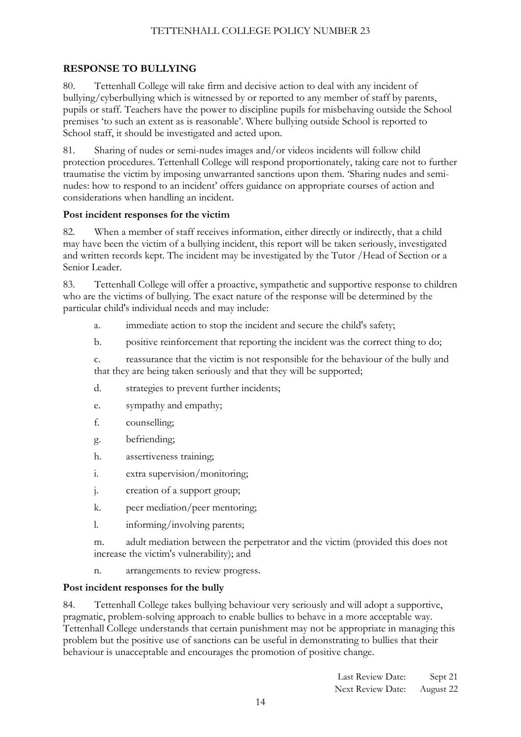# <span id="page-13-0"></span>**RESPONSE TO BULLYING**

80. Tettenhall College will take firm and decisive action to deal with any incident of bullying/cyberbullying which is witnessed by or reported to any member of staff by parents, pupils or staff. Teachers have the power to discipline pupils for misbehaving outside the School premises 'to such an extent as is reasonable'. Where bullying outside School is reported to School staff, it should be investigated and acted upon.

81. Sharing of nudes or semi-nudes images and/or videos incidents will follow child protection procedures. Tettenhall College will respond proportionately, taking care not to further traumatise the victim by imposing unwarranted sanctions upon them. 'Sharing nudes and seminudes: how to respond to an incident' offers guidance on appropriate courses of action and considerations when handling an incident.

#### **Post incident responses for the victim**

82. When a member of staff receives information, either directly or indirectly, that a child may have been the victim of a bullying incident, this report will be taken seriously, investigated and written records kept. The incident may be investigated by the Tutor /Head of Section or a Senior Leader.

83. Tettenhall College will offer a proactive, sympathetic and supportive response to children who are the victims of bullying. The exact nature of the response will be determined by the particular child's individual needs and may include:

- a. immediate action to stop the incident and secure the child's safety;
- b. positive reinforcement that reporting the incident was the correct thing to do;

c. reassurance that the victim is not responsible for the behaviour of the bully and that they are being taken seriously and that they will be supported;

- d. strategies to prevent further incidents;
- e. sympathy and empathy;
- f. counselling;
- g. befriending;
- h. assertiveness training;
- i. extra supervision/monitoring;
- j. creation of a support group;
- k. peer mediation/peer mentoring;
- l. informing/involving parents;

m. adult mediation between the perpetrator and the victim (provided this does not increase the victim's vulnerability); and

n. arrangements to review progress.

#### **Post incident responses for the bully**

84. Tettenhall College takes bullying behaviour very seriously and will adopt a supportive, pragmatic, problem-solving approach to enable bullies to behave in a more acceptable way. Tettenhall College understands that certain punishment may not be appropriate in managing this problem but the positive use of sanctions can be useful in demonstrating to bullies that their behaviour is unacceptable and encourages the promotion of positive change.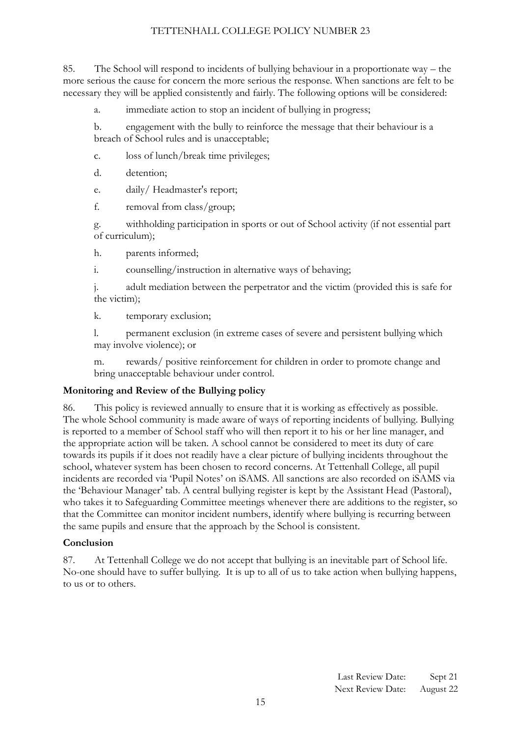85. The School will respond to incidents of bullying behaviour in a proportionate way – the more serious the cause for concern the more serious the response. When sanctions are felt to be necessary they will be applied consistently and fairly. The following options will be considered:

a. immediate action to stop an incident of bullying in progress;

b. engagement with the bully to reinforce the message that their behaviour is a breach of School rules and is unacceptable;

c. loss of lunch/break time privileges;

d. detention;

e. daily/ Headmaster's report;

f. removal from class/group;

g. withholding participation in sports or out of School activity (if not essential part of curriculum);

h. parents informed;

i. counselling/instruction in alternative ways of behaving;

j. adult mediation between the perpetrator and the victim (provided this is safe for the victim);

k. temporary exclusion;

l. permanent exclusion (in extreme cases of severe and persistent bullying which may involve violence); or

m. rewards/ positive reinforcement for children in order to promote change and bring unacceptable behaviour under control.

# **Monitoring and Review of the Bullying policy**

86. This policy is reviewed annually to ensure that it is working as effectively as possible. The whole School community is made aware of ways of reporting incidents of bullying. Bullying is reported to a member of School staff who will then report it to his or her line manager, and the appropriate action will be taken. A school cannot be considered to meet its duty of care towards its pupils if it does not readily have a clear picture of bullying incidents throughout the school, whatever system has been chosen to record concerns. At Tettenhall College, all pupil incidents are recorded via 'Pupil Notes' on iSAMS. All sanctions are also recorded on iSAMS via the 'Behaviour Manager' tab. A central bullying register is kept by the Assistant Head (Pastoral), who takes it to Safeguarding Committee meetings whenever there are additions to the register, so that the Committee can monitor incident numbers, identify where bullying is recurring between the same pupils and ensure that the approach by the School is consistent.

# **Conclusion**

87. At Tettenhall College we do not accept that bullying is an inevitable part of School life. No-one should have to suffer bullying. It is up to all of us to take action when bullying happens, to us or to others.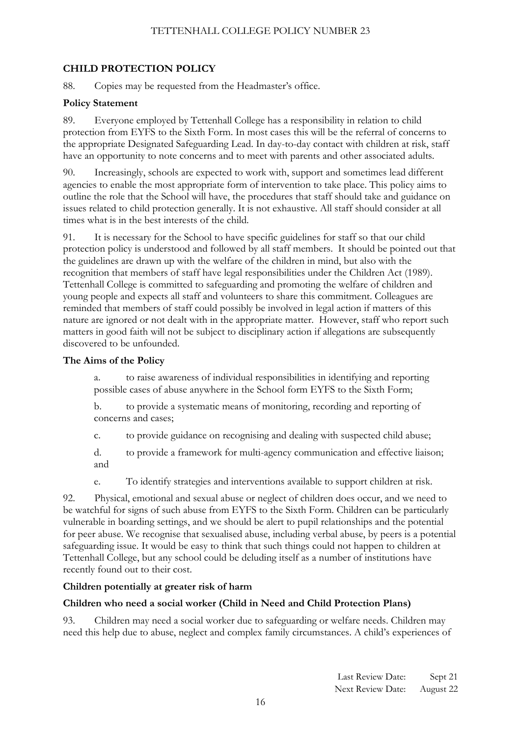# <span id="page-15-0"></span>**CHILD PROTECTION POLICY**

88. Copies may be requested from the Headmaster's office.

# **Policy Statement**

89. Everyone employed by Tettenhall College has a responsibility in relation to child protection from EYFS to the Sixth Form. In most cases this will be the referral of concerns to the appropriate Designated Safeguarding Lead. In day-to-day contact with children at risk, staff have an opportunity to note concerns and to meet with parents and other associated adults.

90. Increasingly, schools are expected to work with, support and sometimes lead different agencies to enable the most appropriate form of intervention to take place. This policy aims to outline the role that the School will have, the procedures that staff should take and guidance on issues related to child protection generally. It is not exhaustive. All staff should consider at all times what is in the best interests of the child.

91. It is necessary for the School to have specific guidelines for staff so that our child protection policy is understood and followed by all staff members. It should be pointed out that the guidelines are drawn up with the welfare of the children in mind, but also with the recognition that members of staff have legal responsibilities under the Children Act (1989). Tettenhall College is committed to safeguarding and promoting the welfare of children and young people and expects all staff and volunteers to share this commitment. Colleagues are reminded that members of staff could possibly be involved in legal action if matters of this nature are ignored or not dealt with in the appropriate matter. However, staff who report such matters in good faith will not be subject to disciplinary action if allegations are subsequently discovered to be unfounded.

# **The Aims of the Policy**

a. to raise awareness of individual responsibilities in identifying and reporting possible cases of abuse anywhere in the School form EYFS to the Sixth Form;

b. to provide a systematic means of monitoring, recording and reporting of concerns and cases;

c. to provide guidance on recognising and dealing with suspected child abuse;

d. to provide a framework for multi-agency communication and effective liaison; and

e. To identify strategies and interventions available to support children at risk.

92. Physical, emotional and sexual abuse or neglect of children does occur, and we need to be watchful for signs of such abuse from EYFS to the Sixth Form. Children can be particularly vulnerable in boarding settings, and we should be alert to pupil relationships and the potential for peer abuse. We recognise that sexualised abuse, including verbal abuse, by peers is a potential safeguarding issue. It would be easy to think that such things could not happen to children at Tettenhall College, but any school could be deluding itself as a number of institutions have recently found out to their cost.

# **Children potentially at greater risk of harm**

# **Children who need a social worker (Child in Need and Child Protection Plans)**

93. Children may need a social worker due to safeguarding or welfare needs. Children may need this help due to abuse, neglect and complex family circumstances. A child's experiences of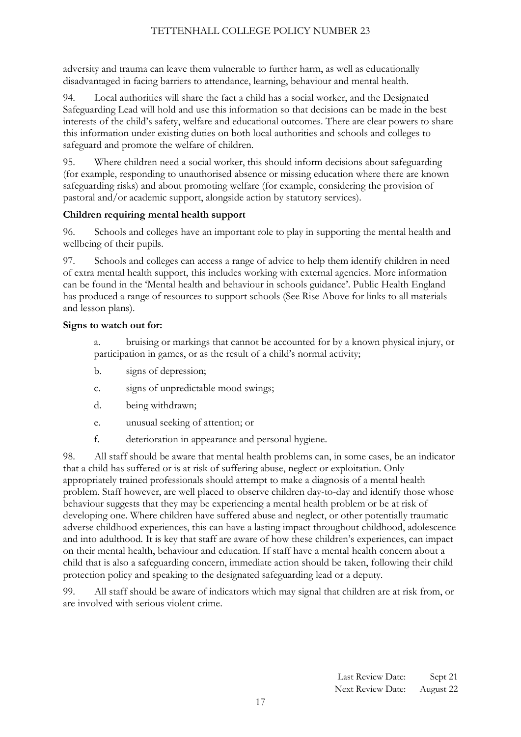adversity and trauma can leave them vulnerable to further harm, as well as educationally disadvantaged in facing barriers to attendance, learning, behaviour and mental health.

94. Local authorities will share the fact a child has a social worker, and the Designated Safeguarding Lead will hold and use this information so that decisions can be made in the best interests of the child's safety, welfare and educational outcomes. There are clear powers to share this information under existing duties on both local authorities and schools and colleges to safeguard and promote the welfare of children.

95. Where children need a social worker, this should inform decisions about safeguarding (for example, responding to unauthorised absence or missing education where there are known safeguarding risks) and about promoting welfare (for example, considering the provision of pastoral and/or academic support, alongside action by statutory services).

# **Children requiring mental health support**

96. Schools and colleges have an important role to play in supporting the mental health and wellbeing of their pupils.

97. Schools and colleges can access a range of advice to help them identify children in need of extra mental health support, this includes working with external agencies. More information can be found in the 'Mental health and behaviour in schools guidance'. Public Health England has produced a range of resources to support schools (See Rise Above for links to all materials and lesson plans).

# **Signs to watch out for:**

a. bruising or markings that cannot be accounted for by a known physical injury, or participation in games, or as the result of a child's normal activity;

- b. signs of depression;
- c. signs of unpredictable mood swings;
- d. being withdrawn;
- e. unusual seeking of attention; or
- f. deterioration in appearance and personal hygiene.

98. All staff should be aware that mental health problems can, in some cases, be an indicator that a child has suffered or is at risk of suffering abuse, neglect or exploitation. Only appropriately trained professionals should attempt to make a diagnosis of a mental health problem. Staff however, are well placed to observe children day-to-day and identify those whose behaviour suggests that they may be experiencing a mental health problem or be at risk of developing one. Where children have suffered abuse and neglect, or other potentially traumatic adverse childhood experiences, this can have a lasting impact throughout childhood, adolescence and into adulthood. It is key that staff are aware of how these children's experiences, can impact on their mental health, behaviour and education. If staff have a mental health concern about a child that is also a safeguarding concern, immediate action should be taken, following their child protection policy and speaking to the designated safeguarding lead or a deputy.

99. All staff should be aware of indicators which may signal that children are at risk from, or are involved with serious violent crime.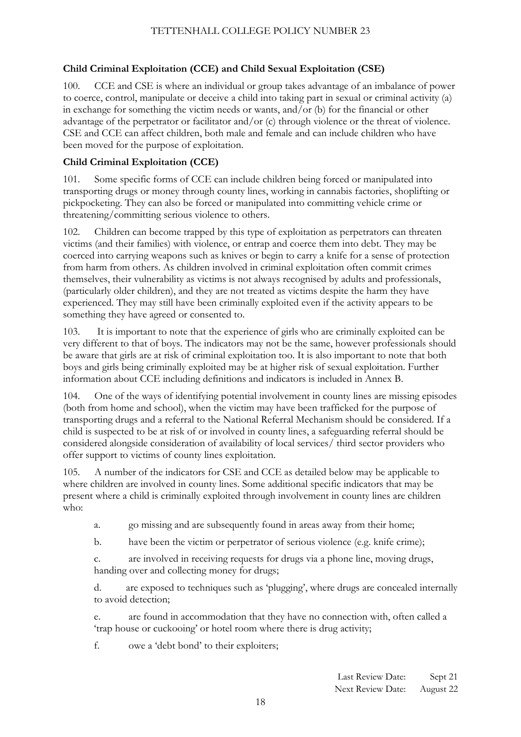# **Child Criminal Exploitation (CCE) and Child Sexual Exploitation (CSE)**

100. CCE and CSE is where an individual or group takes advantage of an imbalance of power to coerce, control, manipulate or deceive a child into taking part in sexual or criminal activity (a) in exchange for something the victim needs or wants, and/or (b) for the financial or other advantage of the perpetrator or facilitator and/or (c) through violence or the threat of violence. CSE and CCE can affect children, both male and female and can include children who have been moved for the purpose of exploitation.

# **Child Criminal Exploitation (CCE)**

101. Some specific forms of CCE can include children being forced or manipulated into transporting drugs or money through county lines, working in cannabis factories, shoplifting or pickpocketing. They can also be forced or manipulated into committing vehicle crime or threatening/committing serious violence to others.

102. Children can become trapped by this type of exploitation as perpetrators can threaten victims (and their families) with violence, or entrap and coerce them into debt. They may be coerced into carrying weapons such as knives or begin to carry a knife for a sense of protection from harm from others. As children involved in criminal exploitation often commit crimes themselves, their vulnerability as victims is not always recognised by adults and professionals, (particularly older children), and they are not treated as victims despite the harm they have experienced. They may still have been criminally exploited even if the activity appears to be something they have agreed or consented to.

103. It is important to note that the experience of girls who are criminally exploited can be very different to that of boys. The indicators may not be the same, however professionals should be aware that girls are at risk of criminal exploitation too. It is also important to note that both boys and girls being criminally exploited may be at higher risk of sexual exploitation. Further information about CCE including definitions and indicators is included in Annex B.

104. One of the ways of identifying potential involvement in county lines are missing episodes (both from home and school), when the victim may have been trafficked for the purpose of transporting drugs and a referral to the National Referral Mechanism should be considered. If a child is suspected to be at risk of or involved in county lines, a safeguarding referral should be considered alongside consideration of availability of local services/ third sector providers who offer support to victims of county lines exploitation.

105. A number of the indicators for CSE and CCE as detailed below may be applicable to where children are involved in county lines. Some additional specific indicators that may be present where a child is criminally exploited through involvement in county lines are children who:

- a. go missing and are subsequently found in areas away from their home;
- b. have been the victim or perpetrator of serious violence (e.g. knife crime);

c. are involved in receiving requests for drugs via a phone line, moving drugs, handing over and collecting money for drugs;

d. are exposed to techniques such as 'plugging', where drugs are concealed internally to avoid detection;

e. are found in accommodation that they have no connection with, often called a 'trap house or cuckooing' or hotel room where there is drug activity;

f. owe a 'debt bond' to their exploiters;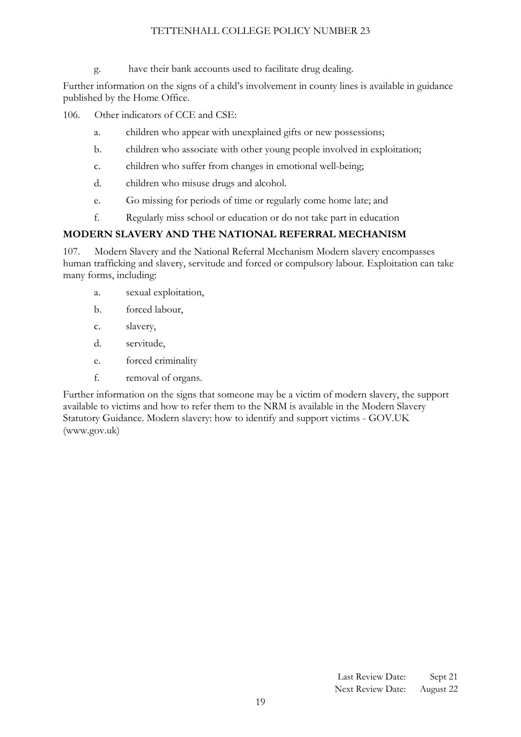g. have their bank accounts used to facilitate drug dealing.

Further information on the signs of a child's involvement in county lines is available in guidance published by the Home Office.

106. Other indicators of CCE and CSE:

- a. children who appear with unexplained gifts or new possessions;
- b. children who associate with other young people involved in exploitation;
- c. children who suffer from changes in emotional well-being;
- d. children who misuse drugs and alcohol.
- e. Go missing for periods of time or regularly come home late; and
- f. Regularly miss school or education or do not take part in education

#### **MODERN SLAVERY AND THE NATIONAL REFERRAL MECHANISM**

107. Modern Slavery and the National Referral Mechanism Modern slavery encompasses human trafficking and slavery, servitude and forced or compulsory labour. Exploitation can take many forms, including:

- a. sexual exploitation,
- b. forced labour,
- c. slavery,
- d. servitude,
- e. forced criminality
- f. removal of organs.

<span id="page-18-0"></span>Further information on the signs that someone may be a victim of modern slavery, the support available to victims and how to refer them to the NRM is available in the Modern Slavery Statutory Guidance. Modern slavery: how to identify and support victims - GOV.UK (www.gov.uk)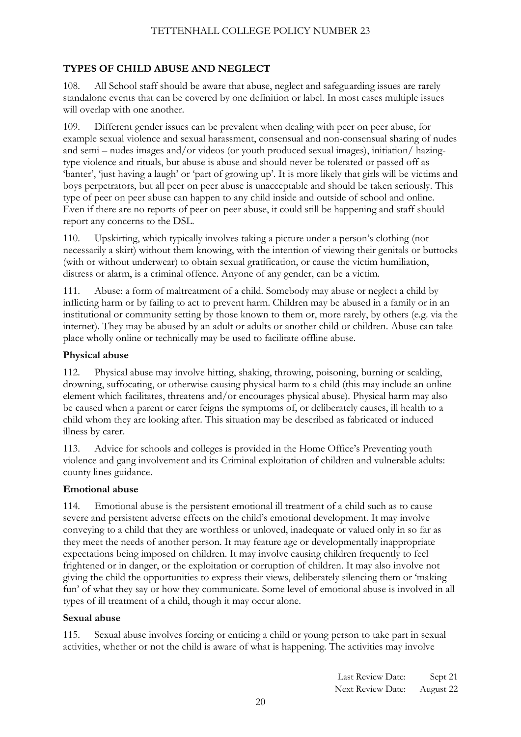# **TYPES OF CHILD ABUSE AND NEGLECT**

108. All School staff should be aware that abuse, neglect and safeguarding issues are rarely standalone events that can be covered by one definition or label. In most cases multiple issues will overlap with one another.

109. Different gender issues can be prevalent when dealing with peer on peer abuse, for example sexual violence and sexual harassment, consensual and non-consensual sharing of nudes and semi – nudes images and/or videos (or youth produced sexual images), initiation/ hazingtype violence and rituals, but abuse is abuse and should never be tolerated or passed off as 'banter', 'just having a laugh' or 'part of growing up'. It is more likely that girls will be victims and boys perpetrators, but all peer on peer abuse is unacceptable and should be taken seriously. This type of peer on peer abuse can happen to any child inside and outside of school and online. Even if there are no reports of peer on peer abuse, it could still be happening and staff should report any concerns to the DSL.

110. Upskirting, which typically involves taking a picture under a person's clothing (not necessarily a skirt) without them knowing, with the intention of viewing their genitals or buttocks (with or without underwear) to obtain sexual gratification, or cause the victim humiliation, distress or alarm, is a criminal offence. Anyone of any gender, can be a victim.

111. Abuse: a form of maltreatment of a child. Somebody may abuse or neglect a child by inflicting harm or by failing to act to prevent harm. Children may be abused in a family or in an institutional or community setting by those known to them or, more rarely, by others (e.g. via the internet). They may be abused by an adult or adults or another child or children. Abuse can take place wholly online or technically may be used to facilitate offline abuse.

# **Physical abuse**

112. Physical abuse may involve hitting, shaking, throwing, poisoning, burning or scalding, drowning, suffocating, or otherwise causing physical harm to a child (this may include an online element which facilitates, threatens and/or encourages physical abuse). Physical harm may also be caused when a parent or carer feigns the symptoms of, or deliberately causes, ill health to a child whom they are looking after. This situation may be described as fabricated or induced illness by carer.

113. Advice for schools and colleges is provided in the Home Office's Preventing youth violence and gang involvement and its Criminal exploitation of children and vulnerable adults: county lines guidance.

# **Emotional abuse**

114. Emotional abuse is the persistent emotional ill treatment of a child such as to cause severe and persistent adverse effects on the child's emotional development. It may involve conveying to a child that they are worthless or unloved, inadequate or valued only in so far as they meet the needs of another person. It may feature age or developmentally inappropriate expectations being imposed on children. It may involve causing children frequently to feel frightened or in danger, or the exploitation or corruption of children. It may also involve not giving the child the opportunities to express their views, deliberately silencing them or 'making fun' of what they say or how they communicate. Some level of emotional abuse is involved in all types of ill treatment of a child, though it may occur alone.

# **Sexual abuse**

115. Sexual abuse involves forcing or enticing a child or young person to take part in sexual activities, whether or not the child is aware of what is happening. The activities may involve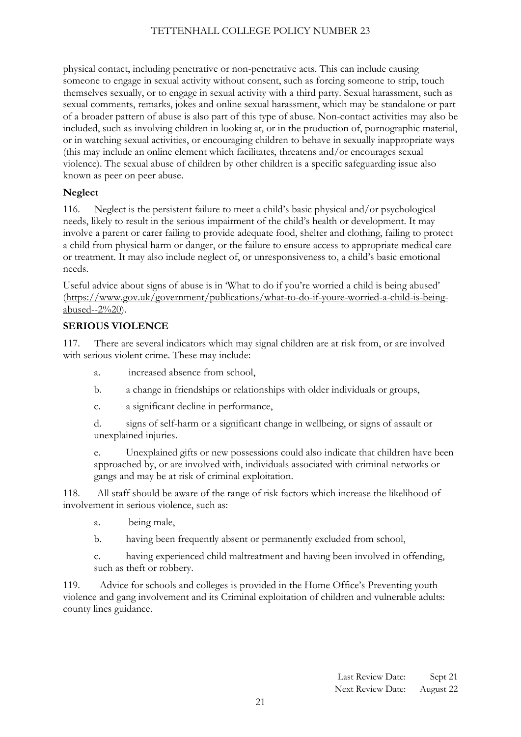physical contact, including penetrative or non-penetrative acts. This can include causing someone to engage in sexual activity without consent, such as forcing someone to strip, touch themselves sexually, or to engage in sexual activity with a third party. Sexual harassment, such as sexual comments, remarks, jokes and online sexual harassment, which may be standalone or part of a broader pattern of abuse is also part of this type of abuse. Non-contact activities may also be included, such as involving children in looking at, or in the production of, pornographic material, or in watching sexual activities, or encouraging children to behave in sexually inappropriate ways (this may include an online element which facilitates, threatens and/or encourages sexual violence). The sexual abuse of children by other children is a specific safeguarding issue also known as peer on peer abuse.

# **Neglect**

116. Neglect is the persistent failure to meet a child's basic physical and/or psychological needs, likely to result in the serious impairment of the child's health or development. It may involve a parent or carer failing to provide adequate food, shelter and clothing, failing to protect a child from physical harm or danger, or the failure to ensure access to appropriate medical care or treatment. It may also include neglect of, or unresponsiveness to, a child's basic emotional needs.

Useful advice about signs of abuse is in 'What to do if you're worried a child is being abused' [\(https://www.gov.uk/government/publications/what-to-do-if-youre-worried-a-child-is-being](https://www.gov.uk/government/publications/what-to-do-if-youre-worried-a-child-is-being-abused--2)[abused--2%20\)](https://www.gov.uk/government/publications/what-to-do-if-youre-worried-a-child-is-being-abused--2).

# **SERIOUS VIOLENCE**

117. There are several indicators which may signal children are at risk from, or are involved with serious violent crime. These may include:

- a. increased absence from school,
- b. a change in friendships or relationships with older individuals or groups,
- c. a significant decline in performance,
- d. signs of self-harm or a significant change in wellbeing, or signs of assault or unexplained injuries.

e. Unexplained gifts or new possessions could also indicate that children have been approached by, or are involved with, individuals associated with criminal networks or gangs and may be at risk of criminal exploitation.

118. All staff should be aware of the range of risk factors which increase the likelihood of involvement in serious violence, such as:

- a. being male,
- b. having been frequently absent or permanently excluded from school,

c. having experienced child maltreatment and having been involved in offending, such as theft or robbery.

119. Advice for schools and colleges is provided in the Home Office's Preventing youth violence and gang involvement and its Criminal exploitation of children and vulnerable adults: county lines guidance.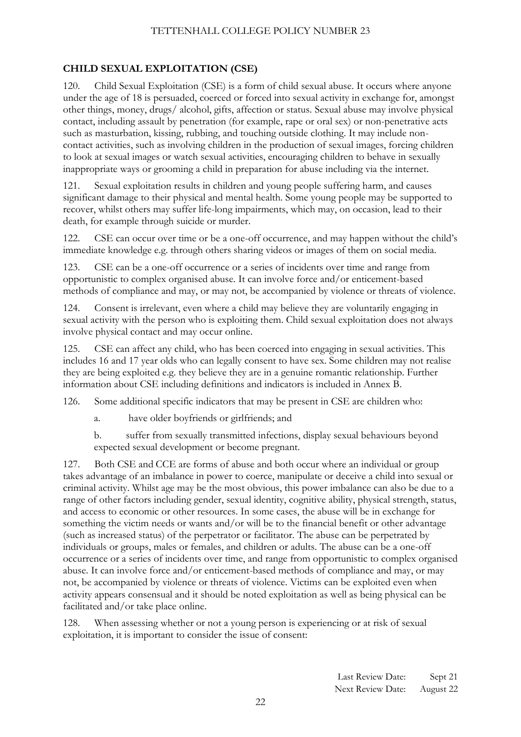# **CHILD SEXUAL EXPLOITATION (CSE)**

120. Child Sexual Exploitation (CSE) is a form of child sexual abuse. It occurs where anyone under the age of 18 is persuaded, coerced or forced into sexual activity in exchange for, amongst other things, money, drugs/ alcohol, gifts, affection or status. Sexual abuse may involve physical contact, including assault by penetration (for example, rape or oral sex) or non-penetrative acts such as masturbation, kissing, rubbing, and touching outside clothing. It may include noncontact activities, such as involving children in the production of sexual images, forcing children to look at sexual images or watch sexual activities, encouraging children to behave in sexually inappropriate ways or grooming a child in preparation for abuse including via the internet.

121. Sexual exploitation results in children and young people suffering harm, and causes significant damage to their physical and mental health. Some young people may be supported to recover, whilst others may suffer life-long impairments, which may, on occasion, lead to their death, for example through suicide or murder.

122. CSE can occur over time or be a one-off occurrence, and may happen without the child's immediate knowledge e.g. through others sharing videos or images of them on social media.

123. CSE can be a one-off occurrence or a series of incidents over time and range from opportunistic to complex organised abuse. It can involve force and/or enticement-based methods of compliance and may, or may not, be accompanied by violence or threats of violence.

124. Consent is irrelevant, even where a child may believe they are voluntarily engaging in sexual activity with the person who is exploiting them. Child sexual exploitation does not always involve physical contact and may occur online.

125. CSE can affect any child, who has been coerced into engaging in sexual activities. This includes 16 and 17 year olds who can legally consent to have sex. Some children may not realise they are being exploited e.g. they believe they are in a genuine romantic relationship. Further information about CSE including definitions and indicators is included in Annex B.

126. Some additional specific indicators that may be present in CSE are children who:

a. have older boyfriends or girlfriends; and

b. suffer from sexually transmitted infections, display sexual behaviours beyond expected sexual development or become pregnant.

127. Both CSE and CCE are forms of abuse and both occur where an individual or group takes advantage of an imbalance in power to coerce, manipulate or deceive a child into sexual or criminal activity. Whilst age may be the most obvious, this power imbalance can also be due to a range of other factors including gender, sexual identity, cognitive ability, physical strength, status, and access to economic or other resources. In some cases, the abuse will be in exchange for something the victim needs or wants and/or will be to the financial benefit or other advantage (such as increased status) of the perpetrator or facilitator. The abuse can be perpetrated by individuals or groups, males or females, and children or adults. The abuse can be a one-off occurrence or a series of incidents over time, and range from opportunistic to complex organised abuse. It can involve force and/or enticement-based methods of compliance and may, or may not, be accompanied by violence or threats of violence. Victims can be exploited even when activity appears consensual and it should be noted exploitation as well as being physical can be facilitated and/or take place online.

128. When assessing whether or not a young person is experiencing or at risk of sexual exploitation, it is important to consider the issue of consent: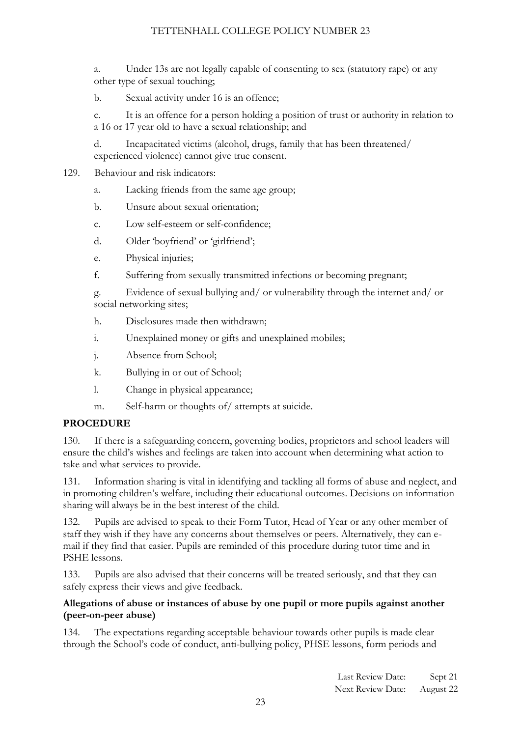a. Under 13s are not legally capable of consenting to sex (statutory rape) or any other type of sexual touching;

b. Sexual activity under 16 is an offence;

c. It is an offence for a person holding a position of trust or authority in relation to a 16 or 17 year old to have a sexual relationship; and

d. Incapacitated victims (alcohol, drugs, family that has been threatened/ experienced violence) cannot give true consent.

#### 129. Behaviour and risk indicators:

<span id="page-22-0"></span>a. Lacking friends from the same age group;

- b. Unsure about sexual orientation;
- c. Low self-esteem or self-confidence;
- d. Older 'boyfriend' or 'girlfriend';
- e. Physical injuries;
- f. Suffering from sexually transmitted infections or becoming pregnant;

g. Evidence of sexual bullying and/ or vulnerability through the internet and/ or social networking sites;

- h. Disclosures made then withdrawn;
- i. Unexplained money or gifts and unexplained mobiles;
- j. Absence from School;
- k. Bullying in or out of School;
- l. Change in physical appearance;
- m. Self-harm or thoughts of/ attempts at suicide.

# **PROCEDURE**

130. If there is a safeguarding concern, governing bodies, proprietors and school leaders will ensure the child's wishes and feelings are taken into account when determining what action to take and what services to provide.

131. Information sharing is vital in identifying and tackling all forms of abuse and neglect, and in promoting children's welfare, including their educational outcomes. Decisions on information sharing will always be in the best interest of the child.

132. Pupils are advised to speak to their Form Tutor, Head of Year or any other member of staff they wish if they have any concerns about themselves or peers. Alternatively, they can email if they find that easier. Pupils are reminded of this procedure during tutor time and in PSHE lessons.

133. Pupils are also advised that their concerns will be treated seriously, and that they can safely express their views and give feedback.

# **Allegations of abuse or instances of abuse by one pupil or more pupils against another (peer-on-peer abuse)**

134. The expectations regarding acceptable behaviour towards other pupils is made clear through the School's code of conduct, anti-bullying policy, PHSE lessons, form periods and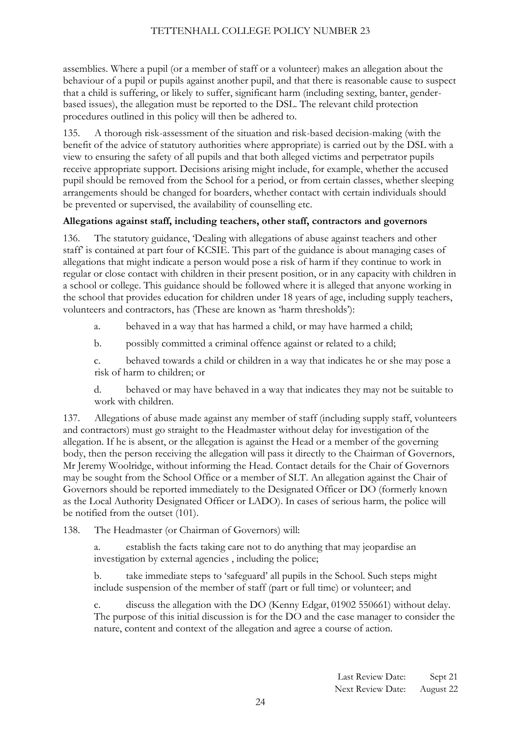assemblies. Where a pupil (or a member of staff or a volunteer) makes an allegation about the behaviour of a pupil or pupils against another pupil, and that there is reasonable cause to suspect that a child is suffering, or likely to suffer, significant harm (including sexting, banter, genderbased issues), the allegation must be reported to the DSL. The relevant child protection procedures outlined in this policy will then be adhered to.

135. A thorough risk-assessment of the situation and risk-based decision-making (with the benefit of the advice of statutory authorities where appropriate) is carried out by the DSL with a view to ensuring the safety of all pupils and that both alleged victims and perpetrator pupils receive appropriate support. Decisions arising might include, for example, whether the accused pupil should be removed from the School for a period, or from certain classes, whether sleeping arrangements should be changed for boarders, whether contact with certain individuals should be prevented or supervised, the availability of counselling etc.

# **Allegations against staff, including teachers, other staff, contractors and governors**

136. The statutory guidance, 'Dealing with allegations of abuse against teachers and other staff' is contained at part four of KCSIE. This part of the guidance is about managing cases of allegations that might indicate a person would pose a risk of harm if they continue to work in regular or close contact with children in their present position, or in any capacity with children in a school or college. This guidance should be followed where it is alleged that anyone working in the school that provides education for children under 18 years of age, including supply teachers, volunteers and contractors, has (These are known as 'harm thresholds'):

- a. behaved in a way that has harmed a child, or may have harmed a child;
- b. possibly committed a criminal offence against or related to a child;

c. behaved towards a child or children in a way that indicates he or she may pose a risk of harm to children; or

d. behaved or may have behaved in a way that indicates they may not be suitable to work with children.

137. Allegations of abuse made against any member of staff (including supply staff, volunteers and contractors) must go straight to the Headmaster without delay for investigation of the allegation. If he is absent, or the allegation is against the Head or a member of the governing body, then the person receiving the allegation will pass it directly to the Chairman of Governors, Mr Jeremy Woolridge, without informing the Head. Contact details for the Chair of Governors may be sought from the School Office or a member of SLT. An allegation against the Chair of Governors should be reported immediately to the Designated Officer or DO (formerly known as the Local Authority Designated Officer or LADO). In cases of serious harm, the police will be notified from the outset (101).

138. The Headmaster (or Chairman of Governors) will:

a. establish the facts taking care not to do anything that may jeopardise an investigation by external agencies , including the police;

b. take immediate steps to 'safeguard' all pupils in the School. Such steps might include suspension of the member of staff (part or full time) or volunteer; and

c. discuss the allegation with the DO (Kenny Edgar, 01902 550661) without delay. The purpose of this initial discussion is for the DO and the case manager to consider the nature, content and context of the allegation and agree a course of action.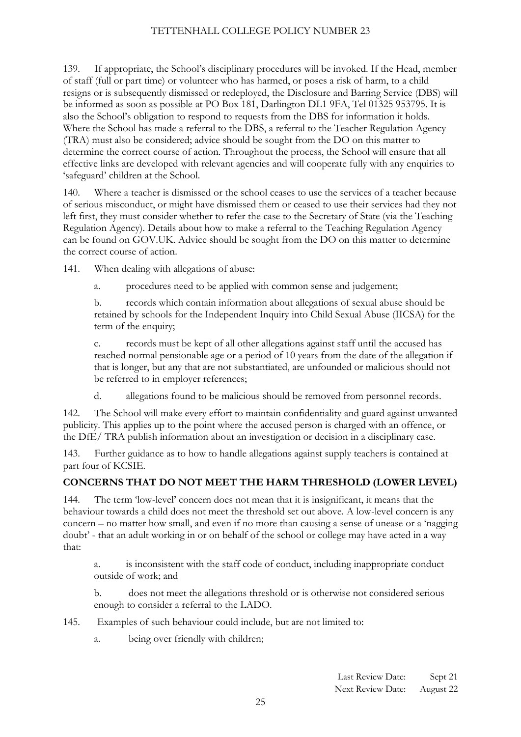139. If appropriate, the School's disciplinary procedures will be invoked. If the Head, member of staff (full or part time) or volunteer who has harmed, or poses a risk of harm, to a child resigns or is subsequently dismissed or redeployed, the Disclosure and Barring Service (DBS) will be informed as soon as possible at PO Box 181, Darlington DL1 9FA, Tel 01325 953795. It is also the School's obligation to respond to requests from the DBS for information it holds. Where the School has made a referral to the DBS, a referral to the Teacher Regulation Agency (TRA) must also be considered; advice should be sought from the DO on this matter to determine the correct course of action. Throughout the process, the School will ensure that all effective links are developed with relevant agencies and will cooperate fully with any enquiries to 'safeguard' children at the School.

140. Where a teacher is dismissed or the school ceases to use the services of a teacher because of serious misconduct, or might have dismissed them or ceased to use their services had they not left first, they must consider whether to refer the case to the Secretary of State (via the Teaching Regulation Agency). Details about how to make a referral to the Teaching Regulation Agency can be found on GOV.UK. Advice should be sought from the DO on this matter to determine the correct course of action.

141. When dealing with allegations of abuse:

a. procedures need to be applied with common sense and judgement;

b. records which contain information about allegations of sexual abuse should be retained by schools for the Independent Inquiry into Child Sexual Abuse (IICSA) for the term of the enquiry;

c. records must be kept of all other allegations against staff until the accused has reached normal pensionable age or a period of 10 years from the date of the allegation if that is longer, but any that are not substantiated, are unfounded or malicious should not be referred to in employer references;

d. allegations found to be malicious should be removed from personnel records.

142. The School will make every effort to maintain confidentiality and guard against unwanted publicity. This applies up to the point where the accused person is charged with an offence, or the DfE/ TRA publish information about an investigation or decision in a disciplinary case.

143. Further guidance as to how to handle allegations against supply teachers is contained at part four of KCSIE.

# **CONCERNS THAT DO NOT MEET THE HARM THRESHOLD (LOWER LEVEL)**

144. The term 'low-level' concern does not mean that it is insignificant, it means that the behaviour towards a child does not meet the threshold set out above. A low-level concern is any concern – no matter how small, and even if no more than causing a sense of unease or a 'nagging doubt' - that an adult working in or on behalf of the school or college may have acted in a way that:

a. is inconsistent with the staff code of conduct, including inappropriate conduct outside of work; and

b. does not meet the allegations threshold or is otherwise not considered serious enough to consider a referral to the LADO.

145. Examples of such behaviour could include, but are not limited to:

a. being over friendly with children;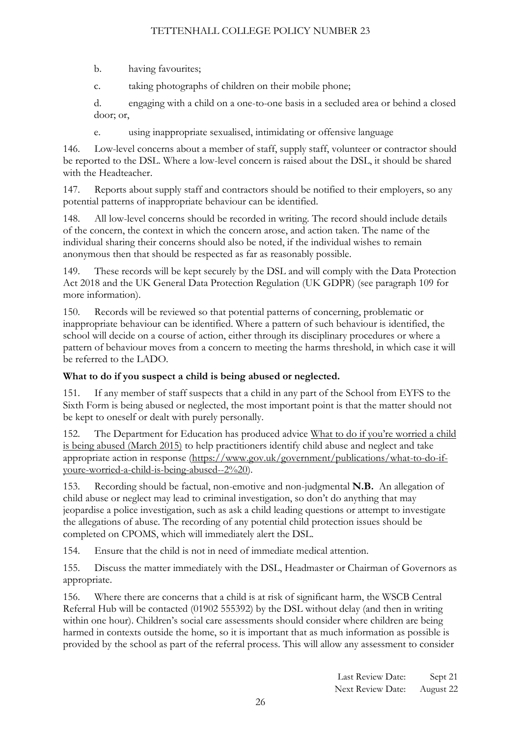b. having favourites;

c. taking photographs of children on their mobile phone;

d. engaging with a child on a one-to-one basis in a secluded area or behind a closed door; or,

e. using inappropriate sexualised, intimidating or offensive language

146. Low-level concerns about a member of staff, supply staff, volunteer or contractor should be reported to the DSL. Where a low-level concern is raised about the DSL, it should be shared with the Headteacher.

147. Reports about supply staff and contractors should be notified to their employers, so any potential patterns of inappropriate behaviour can be identified.

148. All low-level concerns should be recorded in writing. The record should include details of the concern, the context in which the concern arose, and action taken. The name of the individual sharing their concerns should also be noted, if the individual wishes to remain anonymous then that should be respected as far as reasonably possible.

149. These records will be kept securely by the DSL and will comply with the Data Protection Act 2018 and the UK General Data Protection Regulation (UK GDPR) (see paragraph 109 for more information).

150. Records will be reviewed so that potential patterns of concerning, problematic or inappropriate behaviour can be identified. Where a pattern of such behaviour is identified, the school will decide on a course of action, either through its disciplinary procedures or where a pattern of behaviour moves from a concern to meeting the harms threshold, in which case it will be referred to the LADO.

# **What to do if you suspect a child is being abused or neglected.**

151. If any member of staff suspects that a child in any part of the School from EYFS to the Sixth Form is being abused or neglected, the most important point is that the matter should not be kept to oneself or dealt with purely personally.

152. The Department for Education has produced advice What to do if you're worried a child is being abused (March 2015) to help practitioners identify child abuse and neglect and take appropriate action in response [\(https://www.gov.uk/government/publications/what-to-do-if](https://www.gov.uk/government/publications/what-to-do-if-youre-worried-a-child-is-being-abused--2)[youre-worried-a-child-is-being-abused--2%20\)](https://www.gov.uk/government/publications/what-to-do-if-youre-worried-a-child-is-being-abused--2).

153. Recording should be factual, non-emotive and non-judgmental **N.B.** An allegation of child abuse or neglect may lead to criminal investigation, so don't do anything that may jeopardise a police investigation, such as ask a child leading questions or attempt to investigate the allegations of abuse. The recording of any potential child protection issues should be completed on CPOMS, which will immediately alert the DSL.

154. Ensure that the child is not in need of immediate medical attention.

155. Discuss the matter immediately with the DSL, Headmaster or Chairman of Governors as appropriate.

156. Where there are concerns that a child is at risk of significant harm, the WSCB Central Referral Hub will be contacted (01902 555392) by the DSL without delay (and then in writing within one hour). Children's social care assessments should consider where children are being harmed in contexts outside the home, so it is important that as much information as possible is provided by the school as part of the referral process. This will allow any assessment to consider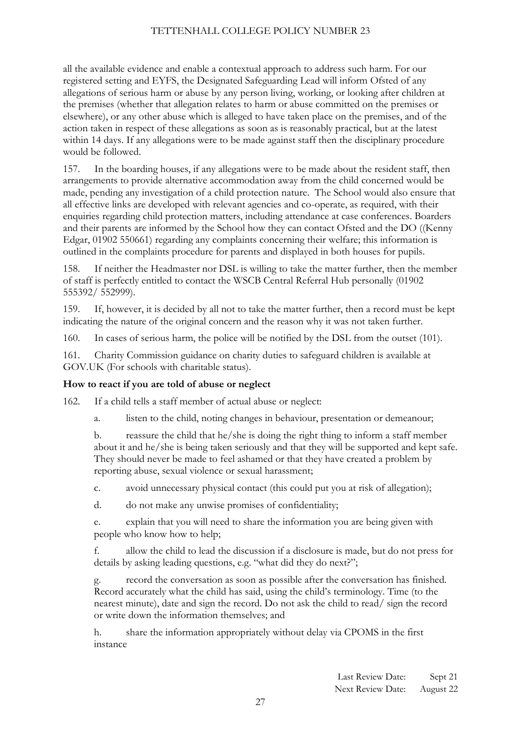all the available evidence and enable a contextual approach to address such harm. For our registered setting and EYFS, the Designated Safeguarding Lead will inform Ofsted of any allegations of serious harm or abuse by any person living, working, or looking after children at the premises (whether that allegation relates to harm or abuse committed on the premises or elsewhere), or any other abuse which is alleged to have taken place on the premises, and of the action taken in respect of these allegations as soon as is reasonably practical, but at the latest within 14 days. If any allegations were to be made against staff then the disciplinary procedure would be followed.

157. In the boarding houses, if any allegations were to be made about the resident staff, then arrangements to provide alternative accommodation away from the child concerned would be made, pending any investigation of a child protection nature. The School would also ensure that all effective links are developed with relevant agencies and co-operate, as required, with their enquiries regarding child protection matters, including attendance at case conferences. Boarders and their parents are informed by the School how they can contact Ofsted and the DO ((Kenny Edgar, 01902 550661) regarding any complaints concerning their welfare; this information is outlined in the complaints procedure for parents and displayed in both houses for pupils.

158. If neither the Headmaster nor DSL is willing to take the matter further, then the member of staff is perfectly entitled to contact the WSCB Central Referral Hub personally (01902 555392/ 552999).

159. If, however, it is decided by all not to take the matter further, then a record must be kept indicating the nature of the original concern and the reason why it was not taken further.

160. In cases of serious harm, the police will be notified by the DSL from the outset (101).

161. Charity Commission guidance on charity duties to safeguard children is available at GOV.UK (For schools with charitable status).

#### **How to react if you are told of abuse or neglect**

162. If a child tells a staff member of actual abuse or neglect:

a. listen to the child, noting changes in behaviour, presentation or demeanour;

b. reassure the child that he/she is doing the right thing to inform a staff member about it and he/she is being taken seriously and that they will be supported and kept safe. They should never be made to feel ashamed or that they have created a problem by reporting abuse, sexual violence or sexual harassment;

c. avoid unnecessary physical contact (this could put you at risk of allegation);

d. do not make any unwise promises of confidentiality;

e. explain that you will need to share the information you are being given with people who know how to help;

f. allow the child to lead the discussion if a disclosure is made, but do not press for details by asking leading questions, e.g. "what did they do next?";

g. record the conversation as soon as possible after the conversation has finished. Record accurately what the child has said, using the child's terminology. Time (to the nearest minute), date and sign the record. Do not ask the child to read/ sign the record or write down the information themselves; and

h. share the information appropriately without delay via CPOMS in the first instance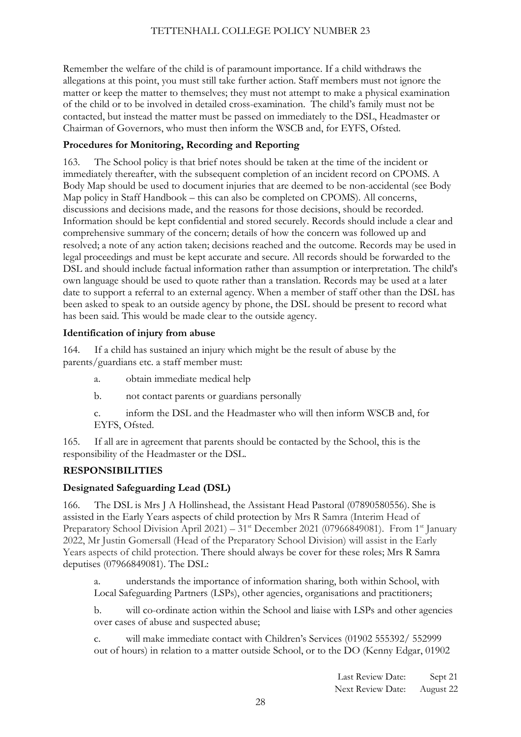Remember the welfare of the child is of paramount importance. If a child withdraws the allegations at this point, you must still take further action. Staff members must not ignore the matter or keep the matter to themselves; they must not attempt to make a physical examination of the child or to be involved in detailed cross-examination. The child's family must not be contacted, but instead the matter must be passed on immediately to the DSL, Headmaster or Chairman of Governors, who must then inform the WSCB and, for EYFS, Ofsted.

# **Procedures for Monitoring, Recording and Reporting**

163. The School policy is that brief notes should be taken at the time of the incident or immediately thereafter, with the subsequent completion of an incident record on CPOMS. A Body Map should be used to document injuries that are deemed to be non-accidental (see Body Map policy in Staff Handbook – this can also be completed on CPOMS). All concerns, discussions and decisions made, and the reasons for those decisions, should be recorded. Information should be kept confidential and stored securely. Records should include a clear and comprehensive summary of the concern; details of how the concern was followed up and resolved; a note of any action taken; decisions reached and the outcome. Records may be used in legal proceedings and must be kept accurate and secure. All records should be forwarded to the DSL and should include factual information rather than assumption or interpretation. The child's own language should be used to quote rather than a translation. Records may be used at a later date to support a referral to an external agency. When a member of staff other than the DSL has been asked to speak to an outside agency by phone, the DSL should be present to record what has been said. This would be made clear to the outside agency.

# **Identification of injury from abuse**

164. If a child has sustained an injury which might be the result of abuse by the parents/guardians etc. a staff member must:

- a. obtain immediate medical help
- b. not contact parents or guardians personally

c. inform the DSL and the Headmaster who will then inform WSCB and, for EYFS, Ofsted.

165. If all are in agreement that parents should be contacted by the School, this is the responsibility of the Headmaster or the DSL.

# <span id="page-27-0"></span>**RESPONSIBILITIES**

# **Designated Safeguarding Lead (DSL)**

166. The DSL is Mrs J A Hollinshead, the Assistant Head Pastoral (07890580556). She is assisted in the Early Years aspects of child protection by Mrs R Samra (Interim Head of Preparatory School Division April 2021) – 31<sup>st</sup> December 2021 (07966849081). From 1<sup>st</sup> January 2022, Mr Justin Gomersall (Head of the Preparatory School Division) will assist in the Early Years aspects of child protection. There should always be cover for these roles; Mrs R Samra deputises (07966849081). The DSL:

a. understands the importance of information sharing, both within School, with Local Safeguarding Partners (LSPs), other agencies, organisations and practitioners;

b. will co-ordinate action within the School and liaise with LSPs and other agencies over cases of abuse and suspected abuse;

c. will make immediate contact with Children's Services (01902 555392/ 552999 out of hours) in relation to a matter outside School, or to the DO (Kenny Edgar, 01902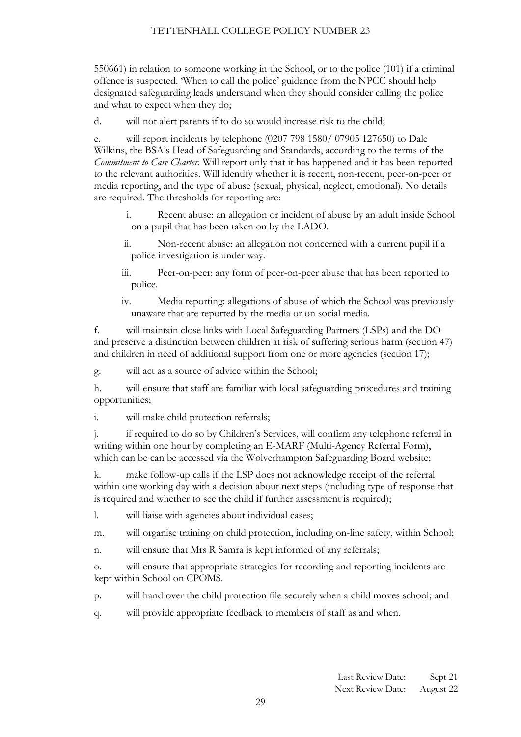550661) in relation to someone working in the School, or to the police (101) if a criminal offence is suspected. 'When to call the police' guidance from the NPCC should help designated safeguarding leads understand when they should consider calling the police and what to expect when they do;

d. will not alert parents if to do so would increase risk to the child;

e. will report incidents by telephone (0207 798 1580/ 07905 127650) to Dale Wilkins, the BSA's Head of Safeguarding and Standards, according to the terms of the *Commitment to Care Charter*. Will report only that it has happened and it has been reported to the relevant authorities. Will identify whether it is recent, non-recent, peer-on-peer or media reporting, and the type of abuse (sexual, physical, neglect, emotional). No details are required. The thresholds for reporting are:

- i. Recent abuse: an allegation or incident of abuse by an adult inside School on a pupil that has been taken on by the LADO.
- ii. Non-recent abuse: an allegation not concerned with a current pupil if a police investigation is under way.
- iii. Peer-on-peer: any form of peer-on-peer abuse that has been reported to police.
- iv. Media reporting: allegations of abuse of which the School was previously unaware that are reported by the media or on social media.

f. will maintain close links with Local Safeguarding Partners (LSPs) and the DO and preserve a distinction between children at risk of suffering serious harm (section 47) and children in need of additional support from one or more agencies (section 17);

g. will act as a source of advice within the School;

h. will ensure that staff are familiar with local safeguarding procedures and training opportunities;

i. will make child protection referrals;

j. if required to do so by Children's Services, will confirm any telephone referral in writing within one hour by completing an E-MARF (Multi-Agency Referral Form), which can be can be accessed via the Wolverhampton Safeguarding Board website;

k. make follow-up calls if the LSP does not acknowledge receipt of the referral within one working day with a decision about next steps (including type of response that is required and whether to see the child if further assessment is required);

l. will liaise with agencies about individual cases;

m. will organise training on child protection, including on-line safety, within School;

n. will ensure that Mrs R Samra is kept informed of any referrals;

o. will ensure that appropriate strategies for recording and reporting incidents are kept within School on CPOMS.

- p. will hand over the child protection file securely when a child moves school; and
- q. will provide appropriate feedback to members of staff as and when.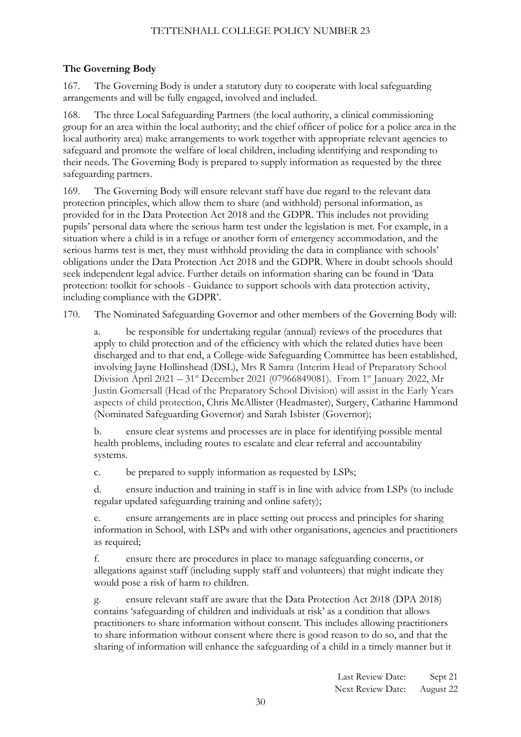# **The Governing Body**

167. The Governing Body is under a statutory duty to cooperate with local safeguarding arrangements and will be fully engaged, involved and included.

168. The three Local Safeguarding Partners (the local authority, a clinical commissioning group for an area within the local authority; and the chief officer of police for a police area in the local authority area) make arrangements to work together with appropriate relevant agencies to safeguard and promote the welfare of local children, including identifying and responding to their needs. The Governing Body is prepared to supply information as requested by the three safeguarding partners.

169. The Governing Body will ensure relevant staff have due regard to the relevant data protection principles, which allow them to share (and withhold) personal information, as provided for in the Data Protection Act 2018 and the GDPR. This includes not providing pupils' personal data where the serious harm test under the legislation is met. For example, in a situation where a child is in a refuge or another form of emergency accommodation, and the serious harms test is met, they must withhold providing the data in compliance with schools' obligations under the Data Protection Act 2018 and the GDPR. Where in doubt schools should seek independent legal advice. Further details on information sharing can be found in 'Data protection: toolkit for schools - Guidance to support schools with data protection activity, including compliance with the GDPR'.

170. The Nominated Safeguarding Governor and other members of the Governing Body will:

be responsible for undertaking regular (annual) reviews of the procedures that apply to child protection and of the efficiency with which the related duties have been discharged and to that end, a College-wide Safeguarding Committee has been established, involving Jayne Hollinshead (DSL), Mrs R Samra (Interim Head of Preparatory School Division April 2021 – 31<sup>st</sup> December 2021 (07966849081). From 1<sup>st</sup> January 2022, Mr Justin Gomersall (Head of the Preparatory School Division) will assist in the Early Years aspects of child protection, Chris McAllister (Headmaster), Surgery, Catharine Hammond (Nominated Safeguarding Governor) and Sarah Isbister (Governor);

b. ensure clear systems and processes are in place for identifying possible mental health problems, including routes to escalate and clear referral and accountability systems.

c. be prepared to supply information as requested by LSPs;

d. ensure induction and training in staff is in line with advice from LSPs (to include regular updated safeguarding training and online safety);

e. ensure arrangements are in place setting out process and principles for sharing information in School, with LSPs and with other organisations, agencies and practitioners as required;

f. ensure there are procedures in place to manage safeguarding concerns, or allegations against staff (including supply staff and volunteers) that might indicate they would pose a risk of harm to children.

g. ensure relevant staff are aware that the Data Protection Act 2018 (DPA 2018) contains 'safeguarding of children and individuals at risk' as a condition that allows practitioners to share information without consent. This includes allowing practitioners to share information without consent where there is good reason to do so, and that the sharing of information will enhance the safeguarding of a child in a timely manner but it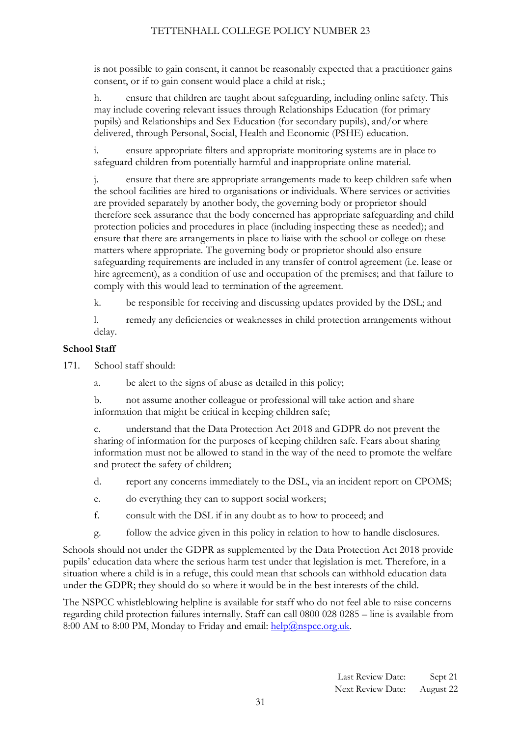is not possible to gain consent, it cannot be reasonably expected that a practitioner gains consent, or if to gain consent would place a child at risk.;

h. ensure that children are taught about safeguarding, including online safety. This may include covering relevant issues through Relationships Education (for primary pupils) and Relationships and Sex Education (for secondary pupils), and/or where delivered, through Personal, Social, Health and Economic (PSHE) education.

i. ensure appropriate filters and appropriate monitoring systems are in place to safeguard children from potentially harmful and inappropriate online material.

j. ensure that there are appropriate arrangements made to keep children safe when the school facilities are hired to organisations or individuals. Where services or activities are provided separately by another body, the governing body or proprietor should therefore seek assurance that the body concerned has appropriate safeguarding and child protection policies and procedures in place (including inspecting these as needed); and ensure that there are arrangements in place to liaise with the school or college on these matters where appropriate. The governing body or proprietor should also ensure safeguarding requirements are included in any transfer of control agreement (i.e. lease or hire agreement), as a condition of use and occupation of the premises; and that failure to comply with this would lead to termination of the agreement.

k. be responsible for receiving and discussing updates provided by the DSL; and

l. remedy any deficiencies or weaknesses in child protection arrangements without delay.

#### **School Staff**

171. School staff should:

- a. be alert to the signs of abuse as detailed in this policy;
- b. not assume another colleague or professional will take action and share information that might be critical in keeping children safe;

c. understand that the Data Protection Act 2018 and GDPR do not prevent the sharing of information for the purposes of keeping children safe. Fears about sharing information must not be allowed to stand in the way of the need to promote the welfare and protect the safety of children;

- d. report any concerns immediately to the DSL, via an incident report on CPOMS;
- e. do everything they can to support social workers;
- f. consult with the DSL if in any doubt as to how to proceed; and
- g. follow the advice given in this policy in relation to how to handle disclosures.

Schools should not under the GDPR as supplemented by the Data Protection Act 2018 provide pupils' education data where the serious harm test under that legislation is met. Therefore, in a situation where a child is in a refuge, this could mean that schools can withhold education data under the GDPR; they should do so where it would be in the best interests of the child.

The NSPCC whistleblowing helpline is available for staff who do not feel able to raise concerns regarding child protection failures internally. Staff can call 0800 028 0285 – line is available from 8:00 AM to 8:00 PM, Monday to Friday and email:  $\frac{\text{help}(a) \text{nspec.org.uk}}{\text{help}(a) \text{nspec.org.uk}}$ .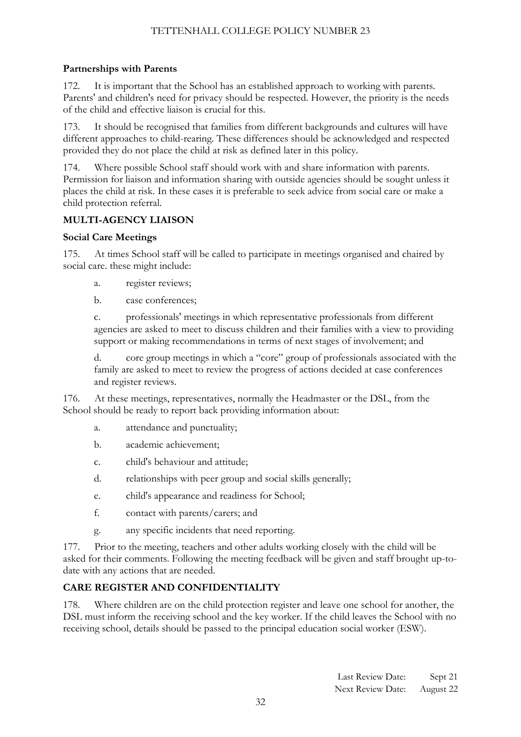# **Partnerships with Parents**

172. It is important that the School has an established approach to working with parents. Parents' and children's need for privacy should be respected. However, the priority is the needs of the child and effective liaison is crucial for this.

173. It should be recognised that families from different backgrounds and cultures will have different approaches to child-rearing. These differences should be acknowledged and respected provided they do not place the child at risk as defined later in this policy.

174. Where possible School staff should work with and share information with parents. Permission for liaison and information sharing with outside agencies should be sought unless it places the child at risk. In these cases it is preferable to seek advice from social care or make a child protection referral.

# **MULTI-AGENCY LIAISON**

#### **Social Care Meetings**

175. At times School staff will be called to participate in meetings organised and chaired by social care. these might include:

a. register reviews;

b. case conferences;

c. professionals' meetings in which representative professionals from different agencies are asked to meet to discuss children and their families with a view to providing support or making recommendations in terms of next stages of involvement; and

d. core group meetings in which a "core" group of professionals associated with the family are asked to meet to review the progress of actions decided at case conferences and register reviews.

176. At these meetings, representatives, normally the Headmaster or the DSL, from the School should be ready to report back providing information about:

- a. attendance and punctuality;
- b. academic achievement;
- c. child's behaviour and attitude;
- d. relationships with peer group and social skills generally;
- e. child's appearance and readiness for School;
- f. contact with parents/carers; and
- g. any specific incidents that need reporting.

177. Prior to the meeting, teachers and other adults working closely with the child will be asked for their comments. Following the meeting feedback will be given and staff brought up-todate with any actions that are needed.

# **CARE REGISTER AND CONFIDENTIALITY**

178. Where children are on the child protection register and leave one school for another, the DSL must inform the receiving school and the key worker. If the child leaves the School with no receiving school, details should be passed to the principal education social worker (ESW).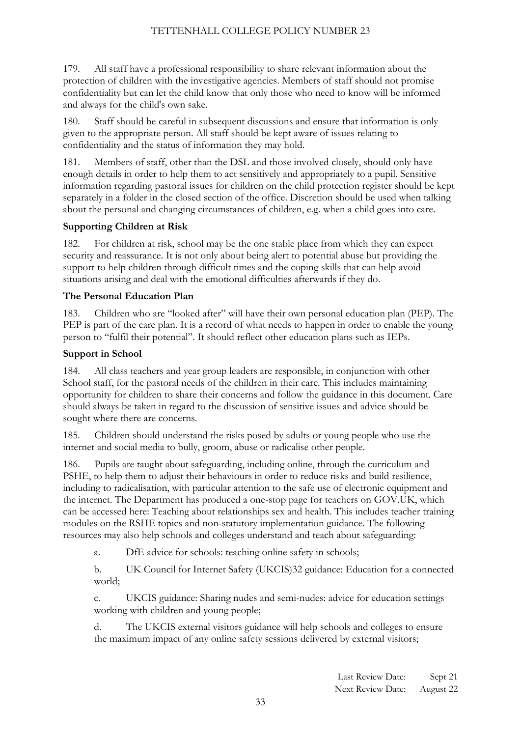179. All staff have a professional responsibility to share relevant information about the protection of children with the investigative agencies. Members of staff should not promise confidentiality but can let the child know that only those who need to know will be informed and always for the child's own sake.

180. Staff should be careful in subsequent discussions and ensure that information is only given to the appropriate person. All staff should be kept aware of issues relating to confidentiality and the status of information they may hold.

181. Members of staff, other than the DSL and those involved closely, should only have enough details in order to help them to act sensitively and appropriately to a pupil. Sensitive information regarding pastoral issues for children on the child protection register should be kept separately in a folder in the closed section of the office. Discretion should be used when talking about the personal and changing circumstances of children, e.g. when a child goes into care.

#### **Supporting Children at Risk**

182. For children at risk, school may be the one stable place from which they can expect security and reassurance. It is not only about being alert to potential abuse but providing the support to help children through difficult times and the coping skills that can help avoid situations arising and deal with the emotional difficulties afterwards if they do.

#### **The Personal Education Plan**

183. Children who are "looked after" will have their own personal education plan (PEP). The PEP is part of the care plan. It is a record of what needs to happen in order to enable the young person to "fulfil their potential". It should reflect other education plans such as IEPs.

#### **Support in School**

184. All class teachers and year group leaders are responsible, in conjunction with other School staff, for the pastoral needs of the children in their care. This includes maintaining opportunity for children to share their concerns and follow the guidance in this document. Care should always be taken in regard to the discussion of sensitive issues and advice should be sought where there are concerns.

185. Children should understand the risks posed by adults or young people who use the internet and social media to bully, groom, abuse or radicalise other people.

186. Pupils are taught about safeguarding, including online, through the curriculum and PSHE, to help them to adjust their behaviours in order to reduce risks and build resilience, including to radicalisation, with particular attention to the safe use of electronic equipment and the internet. The Department has produced a one-stop page for teachers on GOV.UK, which can be accessed here: Teaching about relationships sex and health. This includes teacher training modules on the RSHE topics and non-statutory implementation guidance. The following resources may also help schools and colleges understand and teach about safeguarding:

a. DfE advice for schools: teaching online safety in schools;

b. UK Council for Internet Safety (UKCIS)32 guidance: Education for a connected world;

c. UKCIS guidance: Sharing nudes and semi-nudes: advice for education settings working with children and young people;

d. The UKCIS external visitors guidance will help schools and colleges to ensure the maximum impact of any online safety sessions delivered by external visitors;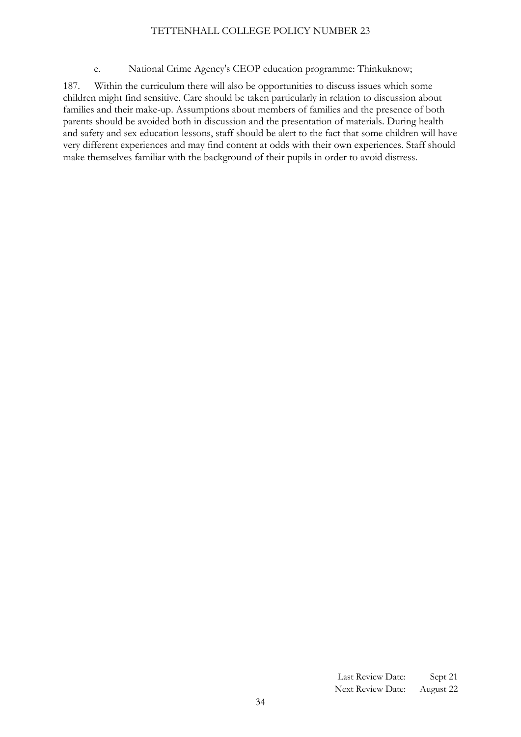#### e. National Crime Agency's CEOP education programme: Thinkuknow;

<span id="page-33-0"></span>187. Within the curriculum there will also be opportunities to discuss issues which some children might find sensitive. Care should be taken particularly in relation to discussion about families and their make-up. Assumptions about members of families and the presence of both parents should be avoided both in discussion and the presentation of materials. During health and safety and sex education lessons, staff should be alert to the fact that some children will have very different experiences and may find content at odds with their own experiences. Staff should make themselves familiar with the background of their pupils in order to avoid distress.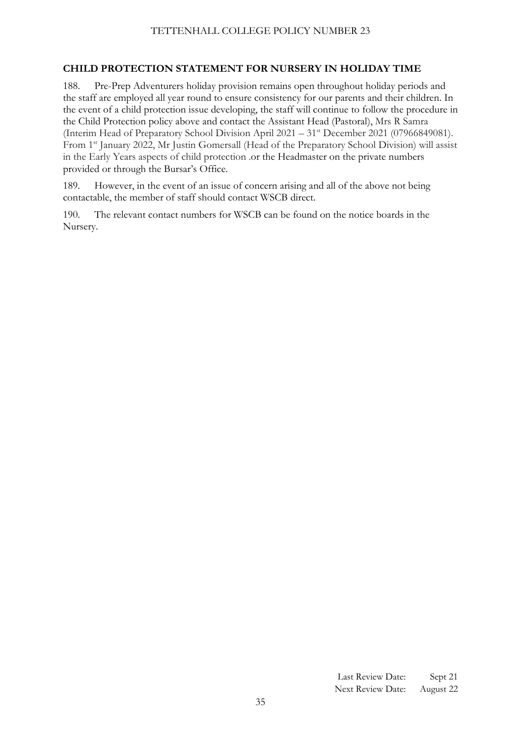# **CHILD PROTECTION STATEMENT FOR NURSERY IN HOLIDAY TIME**

188. Pre-Prep Adventurers holiday provision remains open throughout holiday periods and the staff are employed all year round to ensure consistency for our parents and their children. In the event of a child protection issue developing, the staff will continue to follow the procedure in the Child Protection policy above and contact the Assistant Head (Pastoral), Mrs R Samra (Interim Head of Preparatory School Division April 2021 – 31st December 2021 (07966849081). From 1st January 2022, Mr Justin Gomersall (Head of the Preparatory School Division) will assist in the Early Years aspects of child protection .or the Headmaster on the private numbers provided or through the Bursar's Office.

189. However, in the event of an issue of concern arising and all of the above not being contactable, the member of staff should contact WSCB direct.

190. The relevant contact numbers for WSCB can be found on the notice boards in the Nursery.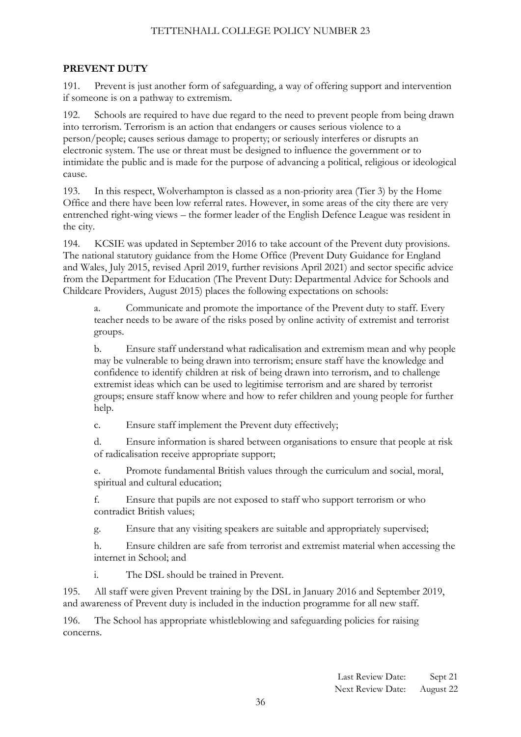#### **PREVENT DUTY**

191. Prevent is just another form of safeguarding, a way of offering support and intervention if someone is on a pathway to extremism.

192. Schools are required to have due regard to the need to prevent people from being drawn into terrorism. Terrorism is an action that endangers or causes serious violence to a person/people; causes serious damage to property; or seriously interferes or disrupts an electronic system. The use or threat must be designed to influence the government or to intimidate the public and is made for the purpose of advancing a political, religious or ideological cause.

193. In this respect, Wolverhampton is classed as a non-priority area (Tier 3) by the Home Office and there have been low referral rates. However, in some areas of the city there are very entrenched right-wing views – the former leader of the English Defence League was resident in the city.

194. KCSIE was updated in September 2016 to take account of the Prevent duty provisions. The national statutory guidance from the Home Office (Prevent Duty Guidance for England and Wales, July 2015, revised April 2019, further revisions April 2021) and sector specific advice from the Department for Education (The Prevent Duty: Departmental Advice for Schools and Childcare Providers, August 2015) places the following expectations on schools:

a. Communicate and promote the importance of the Prevent duty to staff. Every teacher needs to be aware of the risks posed by online activity of extremist and terrorist groups.

b. Ensure staff understand what radicalisation and extremism mean and why people may be vulnerable to being drawn into terrorism; ensure staff have the knowledge and confidence to identify children at risk of being drawn into terrorism, and to challenge extremist ideas which can be used to legitimise terrorism and are shared by terrorist groups; ensure staff know where and how to refer children and young people for further help.

c. Ensure staff implement the Prevent duty effectively;

d. Ensure information is shared between organisations to ensure that people at risk of radicalisation receive appropriate support;

e. Promote fundamental British values through the curriculum and social, moral, spiritual and cultural education;

f. Ensure that pupils are not exposed to staff who support terrorism or who contradict British values;

g. Ensure that any visiting speakers are suitable and appropriately supervised;

h. Ensure children are safe from terrorist and extremist material when accessing the internet in School; and

i. The DSL should be trained in Prevent.

195. All staff were given Prevent training by the DSL in January 2016 and September 2019, and awareness of Prevent duty is included in the induction programme for all new staff.

196. The School has appropriate whistleblowing and safeguarding policies for raising concerns.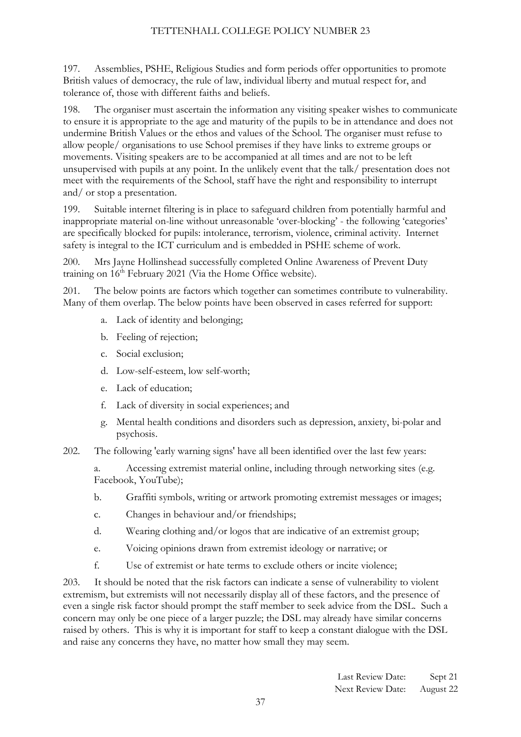197. Assemblies, PSHE, Religious Studies and form periods offer opportunities to promote British values of democracy, the rule of law, individual liberty and mutual respect for, and tolerance of, those with different faiths and beliefs.

198. The organiser must ascertain the information any visiting speaker wishes to communicate to ensure it is appropriate to the age and maturity of the pupils to be in attendance and does not undermine British Values or the ethos and values of the School. The organiser must refuse to allow people/ organisations to use School premises if they have links to extreme groups or movements. Visiting speakers are to be accompanied at all times and are not to be left unsupervised with pupils at any point. In the unlikely event that the talk/ presentation does not meet with the requirements of the School, staff have the right and responsibility to interrupt and/ or stop a presentation.

199. Suitable internet filtering is in place to safeguard children from potentially harmful and inappropriate material on-line without unreasonable 'over-blocking' - the following 'categories' are specifically blocked for pupils: intolerance, terrorism, violence, criminal activity. Internet safety is integral to the ICT curriculum and is embedded in PSHE scheme of work.

200. Mrs Jayne Hollinshead successfully completed Online Awareness of Prevent Duty training on 16<sup>th</sup> February 2021 (Via the Home Office website).

201. The below points are factors which together can sometimes contribute to vulnerability. Many of them overlap. The below points have been observed in cases referred for support:

- a. Lack of identity and belonging;
- b. Feeling of rejection;
- c. Social exclusion;
- d. Low-self-esteem, low self-worth;
- e. Lack of education;
- f. Lack of diversity in social experiences; and
- g. Mental health conditions and disorders such as depression, anxiety, bi-polar and psychosis.
- 202. The following 'early warning signs' have all been identified over the last few years:
	- a. Accessing extremist material online, including through networking sites (e.g. Facebook, YouTube);
	- b. Graffiti symbols, writing or artwork promoting extremist messages or images;
	- c. Changes in behaviour and/or friendships;
	- d. Wearing clothing and/or logos that are indicative of an extremist group;
	- e. Voicing opinions drawn from extremist ideology or narrative; or
	- f. Use of extremist or hate terms to exclude others or incite violence;

203. It should be noted that the risk factors can indicate a sense of vulnerability to violent extremism, but extremists will not necessarily display all of these factors, and the presence of even a single risk factor should prompt the staff member to seek advice from the DSL. Such a concern may only be one piece of a larger puzzle; the DSL may already have similar concerns raised by others. This is why it is important for staff to keep a constant dialogue with the DSL and raise any concerns they have, no matter how small they may seem.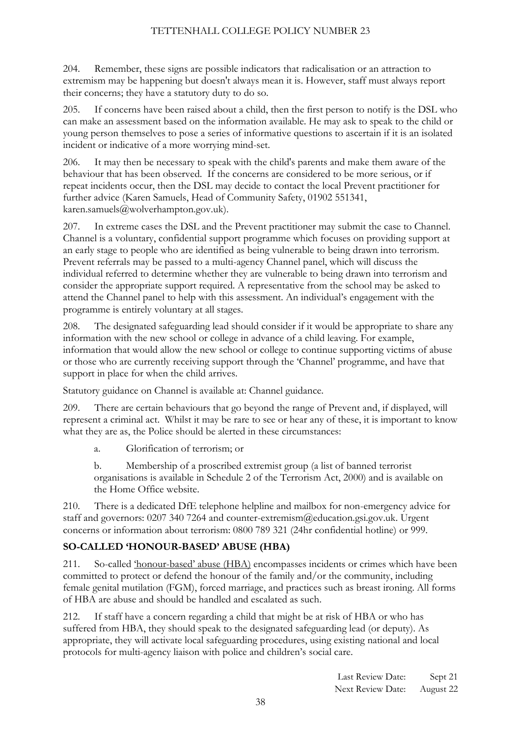204. Remember, these signs are possible indicators that radicalisation or an attraction to extremism may be happening but doesn't always mean it is. However, staff must always report their concerns; they have a statutory duty to do so.

205. If concerns have been raised about a child, then the first person to notify is the DSL who can make an assessment based on the information available. He may ask to speak to the child or young person themselves to pose a series of informative questions to ascertain if it is an isolated incident or indicative of a more worrying mind-set.

206. It may then be necessary to speak with the child's parents and make them aware of the behaviour that has been observed. If the concerns are considered to be more serious, or if repeat incidents occur, then the DSL may decide to contact the local Prevent practitioner for further advice (Karen Samuels, Head of Community Safety, 01902 551341, [karen.samuels@wolverhampton.gov.uk\)](mailto:karen.samuels@wolverhampton.gov.uk).

207. In extreme cases the DSL and the Prevent practitioner may submit the case to Channel. Channel is a voluntary, confidential support programme which focuses on providing support at an early stage to people who are identified as being vulnerable to being drawn into terrorism. Prevent referrals may be passed to a multi-agency Channel panel, which will discuss the individual referred to determine whether they are vulnerable to being drawn into terrorism and consider the appropriate support required. A representative from the school may be asked to attend the Channel panel to help with this assessment. An individual's engagement with the programme is entirely voluntary at all stages.

208. The designated safeguarding lead should consider if it would be appropriate to share any information with the new school or college in advance of a child leaving. For example, information that would allow the new school or college to continue supporting victims of abuse or those who are currently receiving support through the 'Channel' programme, and have that support in place for when the child arrives.

Statutory guidance on Channel is available at: Channel guidance.

209. There are certain behaviours that go beyond the range of Prevent and, if displayed, will represent a criminal act. Whilst it may be rare to see or hear any of these, it is important to know what they are as, the Police should be alerted in these circumstances:

a. Glorification of terrorism; or

b. Membership of a proscribed extremist group (a list of banned terrorist organisations is available in Schedule 2 of the Terrorism Act, 2000) and is available on the Home Office website.

210. There is a dedicated DfE telephone helpline and mailbox for non-emergency advice for staff and governors: 0207 340 7264 and [counter-extremism@education.gsi.gov.uk.](mailto:counter-extremism@education.gsi.gov.uk) Urgent concerns or information about terrorism: 0800 789 321 (24hr confidential hotline) or 999.

# **SO-CALLED 'HONOUR-BASED' ABUSE (HBA)**

211. So-called 'honour-based' abuse (HBA) encompasses incidents or crimes which have been committed to protect or defend the honour of the family and/or the community, including female genital mutilation (FGM), forced marriage, and practices such as breast ironing. All forms of HBA are abuse and should be handled and escalated as such.

212. If staff have a concern regarding a child that might be at risk of HBA or who has suffered from HBA, they should speak to the designated safeguarding lead (or deputy). As appropriate, they will activate local safeguarding procedures, using existing national and local protocols for multi-agency liaison with police and children's social care.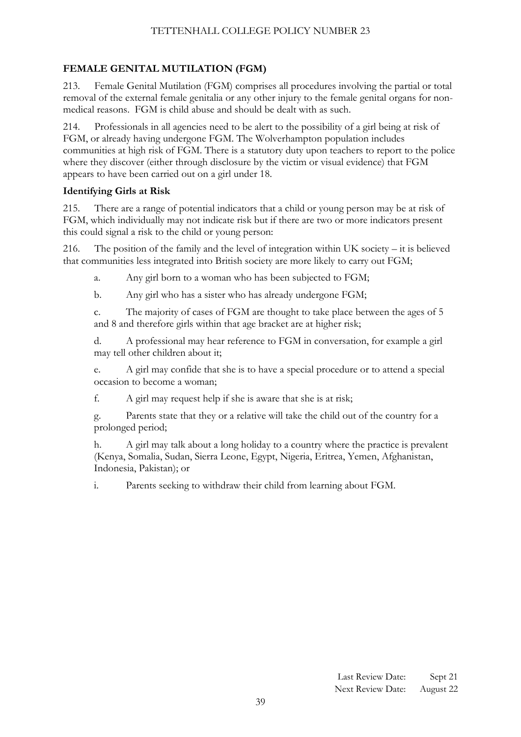# **FEMALE GENITAL MUTILATION (FGM)**

213. Female Genital Mutilation (FGM) comprises all procedures involving the partial or total removal of the external female genitalia or any other injury to the female genital organs for nonmedical reasons. FGM is child abuse and should be dealt with as such.

214. Professionals in all agencies need to be alert to the possibility of a girl being at risk of FGM, or already having undergone FGM. The Wolverhampton population includes communities at high risk of FGM. There is a statutory duty upon teachers to report to the police where they discover (either through disclosure by the victim or visual evidence) that FGM appears to have been carried out on a girl under 18.

#### **Identifying Girls at Risk**

215. There are a range of potential indicators that a child or young person may be at risk of FGM, which individually may not indicate risk but if there are two or more indicators present this could signal a risk to the child or young person:

216. The position of the family and the level of integration within UK society – it is believed that communities less integrated into British society are more likely to carry out FGM;

a. Any girl born to a woman who has been subjected to FGM;

b. Any girl who has a sister who has already undergone FGM;

c. The majority of cases of FGM are thought to take place between the ages of 5 and 8 and therefore girls within that age bracket are at higher risk;

d. A professional may hear reference to FGM in conversation, for example a girl may tell other children about it;

e. A girl may confide that she is to have a special procedure or to attend a special occasion to become a woman;

f. A girl may request help if she is aware that she is at risk;

g. Parents state that they or a relative will take the child out of the country for a prolonged period;

h. A girl may talk about a long holiday to a country where the practice is prevalent (Kenya, Somalia, Sudan, Sierra Leone, Egypt, Nigeria, Eritrea, Yemen, Afghanistan, Indonesia, Pakistan); or

i. Parents seeking to withdraw their child from learning about FGM.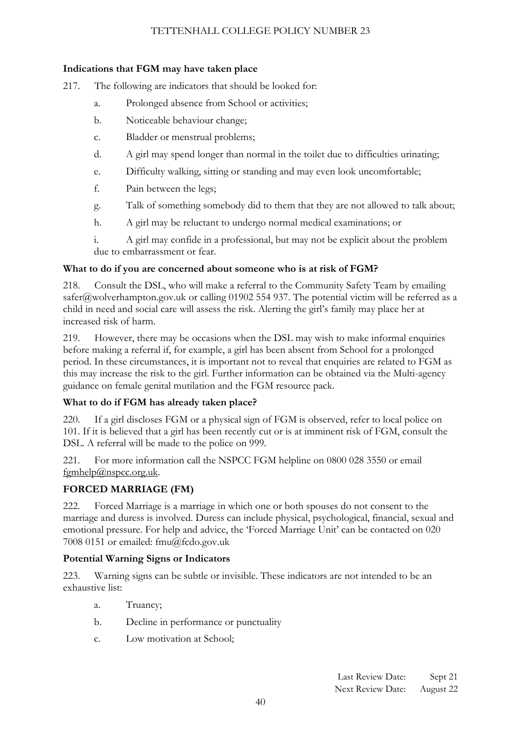#### **Indications that FGM may have taken place**

- 217. The following are indicators that should be looked for:
	- a. Prolonged absence from School or activities;
	- b. Noticeable behaviour change;
	- c. Bladder or menstrual problems;
	- d. A girl may spend longer than normal in the toilet due to difficulties urinating;
	- e. Difficulty walking, sitting or standing and may even look uncomfortable;
	- f. Pain between the legs;
	- g. Talk of something somebody did to them that they are not allowed to talk about;
	- h. A girl may be reluctant to undergo normal medical examinations; or

i. A girl may confide in a professional, but may not be explicit about the problem due to embarrassment or fear.

#### **What to do if you are concerned about someone who is at risk of FGM?**

218. Consult the DSL, who will make a referral to the Community Safety Team by emailing [safer@wolverhampton.gov.uk](mailto:safer@wolverhampton.gov.uk) or calling 01902 554 937. The potential victim will be referred as a child in need and social care will assess the risk. Alerting the girl's family may place her at increased risk of harm.

219. However, there may be occasions when the DSL may wish to make informal enquiries before making a referral if, for example, a girl has been absent from School for a prolonged period. In these circumstances, it is important not to reveal that enquiries are related to FGM as this may increase the risk to the girl. Further information can be obtained via the Multi-agency guidance on female genital mutilation and the FGM resource pack.

#### **What to do if FGM has already taken place?**

220. If a girl discloses FGM or a physical sign of FGM is observed, refer to local police on 101. If it is believed that a girl has been recently cut or is at imminent risk of FGM, consult the DSL. A referral will be made to the police on 999.

221. For more information call the NSPCC FGM helpline on 0800 028 3550 or email [fgmhelp@nspcc.org.uk.](mailto:fgmhelp@nspcc.org.uk)

#### **FORCED MARRIAGE (FM)**

222. Forced Marriage is a marriage in which one or both spouses do not consent to the marriage and duress is involved. Duress can include physical, psychological, financial, sexual and emotional pressure. For help and advice, the 'Forced Marriage Unit' can be contacted on 020 7008 0151 or emailed: fmu@fcdo.gov.uk

#### **Potential Warning Signs or Indicators**

223. Warning signs can be subtle or invisible. These indicators are not intended to be an exhaustive list:

- a. Truancy;
- b. Decline in performance or punctuality
- c. Low motivation at School;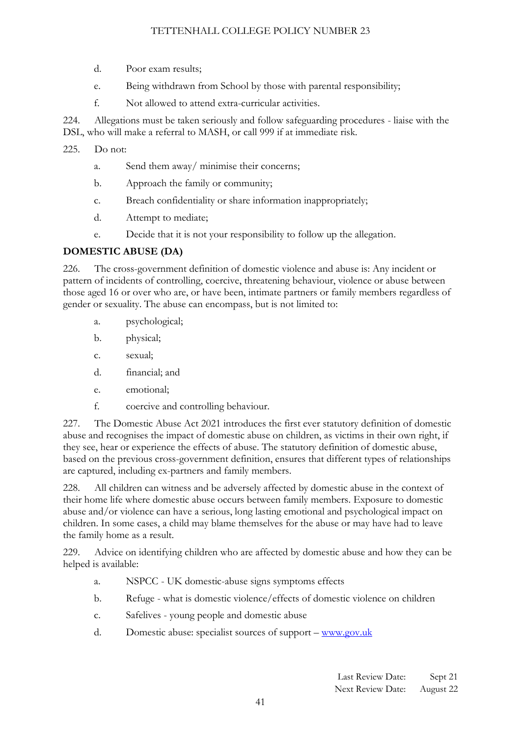- d. Poor exam results;
- e. Being withdrawn from School by those with parental responsibility;
- f. Not allowed to attend extra-curricular activities.

224. Allegations must be taken seriously and follow safeguarding procedures - liaise with the DSL, who will make a referral to MASH, or call 999 if at immediate risk.

- 225. Do not:
	- a. Send them away/ minimise their concerns;
	- b. Approach the family or community;
	- c. Breach confidentiality or share information inappropriately;
	- d. Attempt to mediate;
	- e. Decide that it is not your responsibility to follow up the allegation.

#### **DOMESTIC ABUSE (DA)**

226. The cross-government definition of domestic violence and abuse is: Any incident or pattern of incidents of controlling, coercive, threatening behaviour, violence or abuse between those aged 16 or over who are, or have been, intimate partners or family members regardless of gender or sexuality. The abuse can encompass, but is not limited to:

- a. psychological;
- b. physical;
- c. sexual;
- d. financial; and
- e. emotional;
- f. coercive and controlling behaviour.

227. The Domestic Abuse Act 2021 introduces the first ever statutory definition of domestic abuse and recognises the impact of domestic abuse on children, as victims in their own right, if they see, hear or experience the effects of abuse. The statutory definition of domestic abuse, based on the previous cross-government definition, ensures that different types of relationships are captured, including ex-partners and family members.

228. All children can witness and be adversely affected by domestic abuse in the context of their home life where domestic abuse occurs between family members. Exposure to domestic abuse and/or violence can have a serious, long lasting emotional and psychological impact on children. In some cases, a child may blame themselves for the abuse or may have had to leave the family home as a result.

229. Advice on identifying children who are affected by domestic abuse and how they can be helped is available:

- a. NSPCC UK domestic-abuse signs symptoms effects
- b. Refuge what is domestic violence/effects of domestic violence on children
- c. Safelives young people and domestic abuse
- d. Domestic abuse: specialist sources of support [www.gov.uk](http://www.gov.uk/)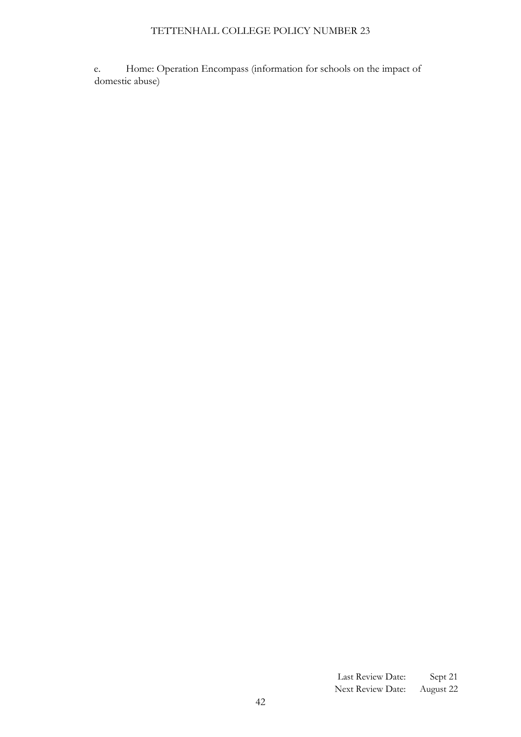e. Home: Operation Encompass (information for schools on the impact of domestic abuse)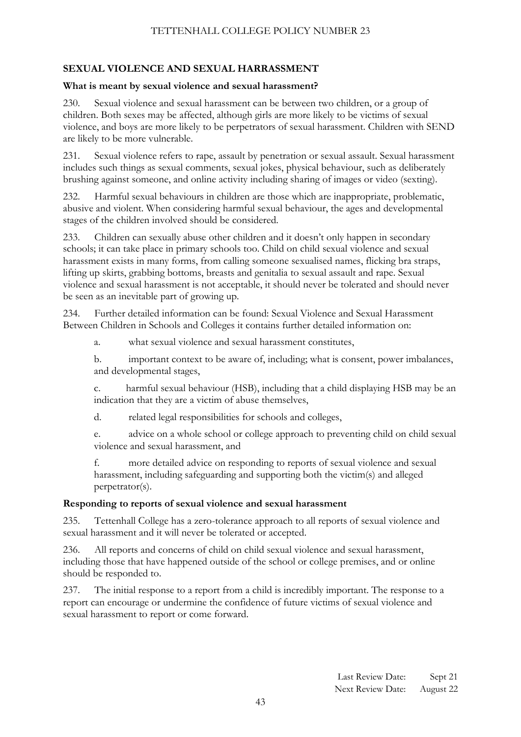# **SEXUAL VIOLENCE AND SEXUAL HARRASSMENT**

#### **What is meant by sexual violence and sexual harassment?**

230. Sexual violence and sexual harassment can be between two children, or a group of children. Both sexes may be affected, although girls are more likely to be victims of sexual violence, and boys are more likely to be perpetrators of sexual harassment. Children with SEND are likely to be more vulnerable.

231. Sexual violence refers to rape, assault by penetration or sexual assault. Sexual harassment includes such things as sexual comments, sexual jokes, physical behaviour, such as deliberately brushing against someone, and online activity including sharing of images or video (sexting).

232. Harmful sexual behaviours in children are those which are inappropriate, problematic, abusive and violent. When considering harmful sexual behaviour, the ages and developmental stages of the children involved should be considered.

233. Children can sexually abuse other children and it doesn't only happen in secondary schools; it can take place in primary schools too. Child on child sexual violence and sexual harassment exists in many forms, from calling someone sexualised names, flicking bra straps, lifting up skirts, grabbing bottoms, breasts and genitalia to sexual assault and rape. Sexual violence and sexual harassment is not acceptable, it should never be tolerated and should never be seen as an inevitable part of growing up.

234. Further detailed information can be found: Sexual Violence and Sexual Harassment Between Children in Schools and Colleges it contains further detailed information on:

a. what sexual violence and sexual harassment constitutes,

b. important context to be aware of, including; what is consent, power imbalances, and developmental stages,

c. harmful sexual behaviour (HSB), including that a child displaying HSB may be an indication that they are a victim of abuse themselves,

d. related legal responsibilities for schools and colleges,

e. advice on a whole school or college approach to preventing child on child sexual violence and sexual harassment, and

f. more detailed advice on responding to reports of sexual violence and sexual harassment, including safeguarding and supporting both the victim(s) and alleged perpetrator(s).

#### **Responding to reports of sexual violence and sexual harassment**

235. Tettenhall College has a zero-tolerance approach to all reports of sexual violence and sexual harassment and it will never be tolerated or accepted.

236. All reports and concerns of child on child sexual violence and sexual harassment, including those that have happened outside of the school or college premises, and or online should be responded to.

237. The initial response to a report from a child is incredibly important. The response to a report can encourage or undermine the confidence of future victims of sexual violence and sexual harassment to report or come forward.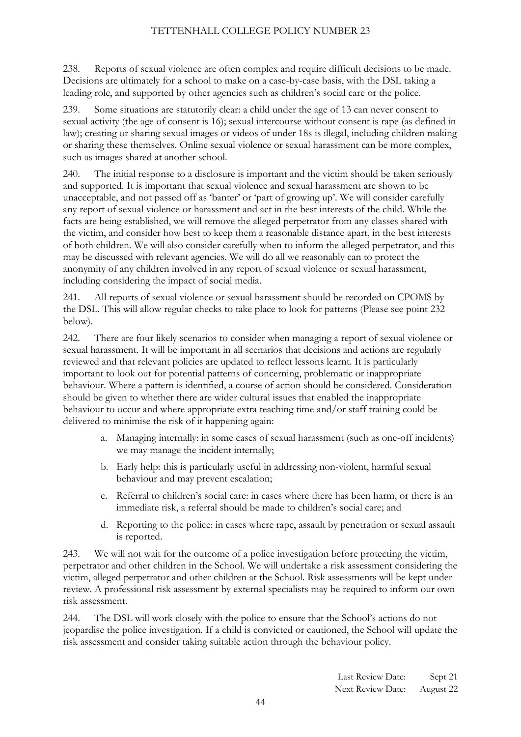238. Reports of sexual violence are often complex and require difficult decisions to be made. Decisions are ultimately for a school to make on a case-by-case basis, with the DSL taking a leading role, and supported by other agencies such as children's social care or the police.

239. Some situations are statutorily clear: a child under the age of 13 can never consent to sexual activity (the age of consent is 16); sexual intercourse without consent is rape (as defined in law); creating or sharing sexual images or videos of under 18s is illegal, including children making or sharing these themselves. Online sexual violence or sexual harassment can be more complex, such as images shared at another school.

240. The initial response to a disclosure is important and the victim should be taken seriously and supported. It is important that sexual violence and sexual harassment are shown to be unacceptable, and not passed off as 'banter' or 'part of growing up'. We will consider carefully any report of sexual violence or harassment and act in the best interests of the child. While the facts are being established, we will remove the alleged perpetrator from any classes shared with the victim, and consider how best to keep them a reasonable distance apart, in the best interests of both children. We will also consider carefully when to inform the alleged perpetrator, and this may be discussed with relevant agencies. We will do all we reasonably can to protect the anonymity of any children involved in any report of sexual violence or sexual harassment, including considering the impact of social media.

241. All reports of sexual violence or sexual harassment should be recorded on CPOMS by the DSL. This will allow regular checks to take place to look for patterns (Please see point 232 below).

242. There are four likely scenarios to consider when managing a report of sexual violence or sexual harassment. It will be important in all scenarios that decisions and actions are regularly reviewed and that relevant policies are updated to reflect lessons learnt. It is particularly important to look out for potential patterns of concerning, problematic or inappropriate behaviour. Where a pattern is identified, a course of action should be considered. Consideration should be given to whether there are wider cultural issues that enabled the inappropriate behaviour to occur and where appropriate extra teaching time and/or staff training could be delivered to minimise the risk of it happening again:

- a. Managing internally: in some cases of sexual harassment (such as one-off incidents) we may manage the incident internally;
- b. Early help: this is particularly useful in addressing non-violent, harmful sexual behaviour and may prevent escalation;
- c. Referral to children's social care: in cases where there has been harm, or there is an immediate risk, a referral should be made to children's social care; and
- d. Reporting to the police: in cases where rape, assault by penetration or sexual assault is reported.

243. We will not wait for the outcome of a police investigation before protecting the victim, perpetrator and other children in the School. We will undertake a risk assessment considering the victim, alleged perpetrator and other children at the School. Risk assessments will be kept under review. A professional risk assessment by external specialists may be required to inform our own risk assessment.

244. The DSL will work closely with the police to ensure that the School's actions do not jeopardise the police investigation. If a child is convicted or cautioned, the School will update the risk assessment and consider taking suitable action through the behaviour policy.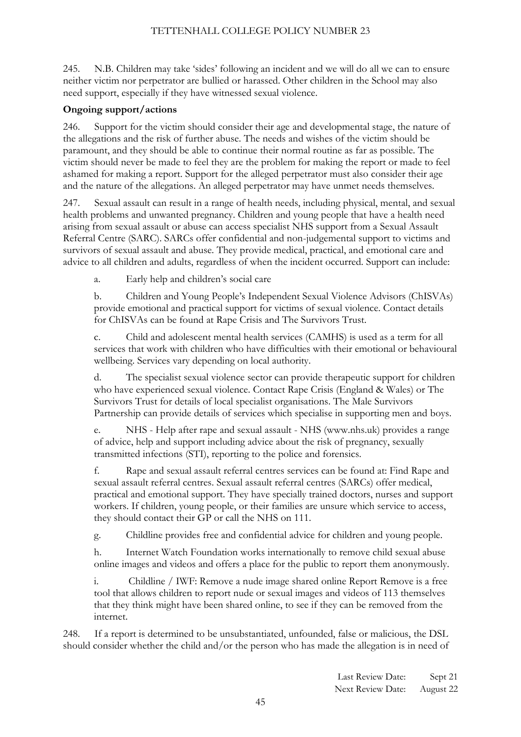245. N.B. Children may take 'sides' following an incident and we will do all we can to ensure neither victim nor perpetrator are bullied or harassed. Other children in the School may also need support, especially if they have witnessed sexual violence.

#### **Ongoing support/actions**

246. Support for the victim should consider their age and developmental stage, the nature of the allegations and the risk of further abuse. The needs and wishes of the victim should be paramount, and they should be able to continue their normal routine as far as possible. The victim should never be made to feel they are the problem for making the report or made to feel ashamed for making a report. Support for the alleged perpetrator must also consider their age and the nature of the allegations. An alleged perpetrator may have unmet needs themselves.

247. Sexual assault can result in a range of health needs, including physical, mental, and sexual health problems and unwanted pregnancy. Children and young people that have a health need arising from sexual assault or abuse can access specialist NHS support from a Sexual Assault Referral Centre (SARC). SARCs offer confidential and non-judgemental support to victims and survivors of sexual assault and abuse. They provide medical, practical, and emotional care and advice to all children and adults, regardless of when the incident occurred. Support can include:

a. Early help and children's social care

b. Children and Young People's Independent Sexual Violence Advisors (ChISVAs) provide emotional and practical support for victims of sexual violence. Contact details for ChISVAs can be found at Rape Crisis and The Survivors Trust.

c. Child and adolescent mental health services (CAMHS) is used as a term for all services that work with children who have difficulties with their emotional or behavioural wellbeing. Services vary depending on local authority.

d. The specialist sexual violence sector can provide therapeutic support for children who have experienced sexual violence. Contact Rape Crisis (England & Wales) or The Survivors Trust for details of local specialist organisations. The Male Survivors Partnership can provide details of services which specialise in supporting men and boys.

e. NHS - Help after rape and sexual assault - NHS (www.nhs.uk) provides a range of advice, help and support including advice about the risk of pregnancy, sexually transmitted infections (STI), reporting to the police and forensics.

f. Rape and sexual assault referral centres services can be found at: Find Rape and sexual assault referral centres. Sexual assault referral centres (SARCs) offer medical, practical and emotional support. They have specially trained doctors, nurses and support workers. If children, young people, or their families are unsure which service to access, they should contact their GP or call the NHS on 111.

g. Childline provides free and confidential advice for children and young people.

h. Internet Watch Foundation works internationally to remove child sexual abuse online images and videos and offers a place for the public to report them anonymously.

i. Childline / IWF: Remove a nude image shared online Report Remove is a free tool that allows children to report nude or sexual images and videos of 113 themselves that they think might have been shared online, to see if they can be removed from the internet.

248. If a report is determined to be unsubstantiated, unfounded, false or malicious, the DSL should consider whether the child and/or the person who has made the allegation is in need of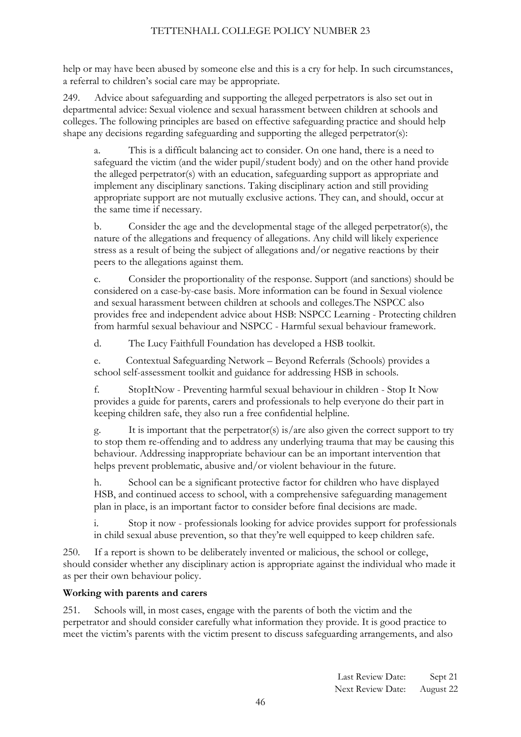help or may have been abused by someone else and this is a cry for help. In such circumstances, a referral to children's social care may be appropriate.

249. Advice about safeguarding and supporting the alleged perpetrators is also set out in departmental advice: Sexual violence and sexual harassment between children at schools and colleges. The following principles are based on effective safeguarding practice and should help shape any decisions regarding safeguarding and supporting the alleged perpetrator(s):

This is a difficult balancing act to consider. On one hand, there is a need to safeguard the victim (and the wider pupil/student body) and on the other hand provide the alleged perpetrator(s) with an education, safeguarding support as appropriate and implement any disciplinary sanctions. Taking disciplinary action and still providing appropriate support are not mutually exclusive actions. They can, and should, occur at the same time if necessary.

b. Consider the age and the developmental stage of the alleged perpetrator(s), the nature of the allegations and frequency of allegations. Any child will likely experience stress as a result of being the subject of allegations and/or negative reactions by their peers to the allegations against them.

c. Consider the proportionality of the response. Support (and sanctions) should be considered on a case-by-case basis. More information can be found in Sexual violence and sexual harassment between children at schools and colleges.The NSPCC also provides free and independent advice about HSB: NSPCC Learning - Protecting children from harmful sexual behaviour and NSPCC - Harmful sexual behaviour framework.

d. The Lucy Faithfull Foundation has developed a HSB toolkit.

e. Contextual Safeguarding Network – Beyond Referrals (Schools) provides a school self-assessment toolkit and guidance for addressing HSB in schools.

f. StopItNow - Preventing harmful sexual behaviour in children - Stop It Now provides a guide for parents, carers and professionals to help everyone do their part in keeping children safe, they also run a free confidential helpline.

g. It is important that the perpetrator(s) is/are also given the correct support to try to stop them re-offending and to address any underlying trauma that may be causing this behaviour. Addressing inappropriate behaviour can be an important intervention that helps prevent problematic, abusive and/or violent behaviour in the future.

h. School can be a significant protective factor for children who have displayed HSB, and continued access to school, with a comprehensive safeguarding management plan in place, is an important factor to consider before final decisions are made.

i. Stop it now - professionals looking for advice provides support for professionals in child sexual abuse prevention, so that they're well equipped to keep children safe.

250. If a report is shown to be deliberately invented or malicious, the school or college, should consider whether any disciplinary action is appropriate against the individual who made it as per their own behaviour policy.

# **Working with parents and carers**

251. Schools will, in most cases, engage with the parents of both the victim and the perpetrator and should consider carefully what information they provide. It is good practice to meet the victim's parents with the victim present to discuss safeguarding arrangements, and also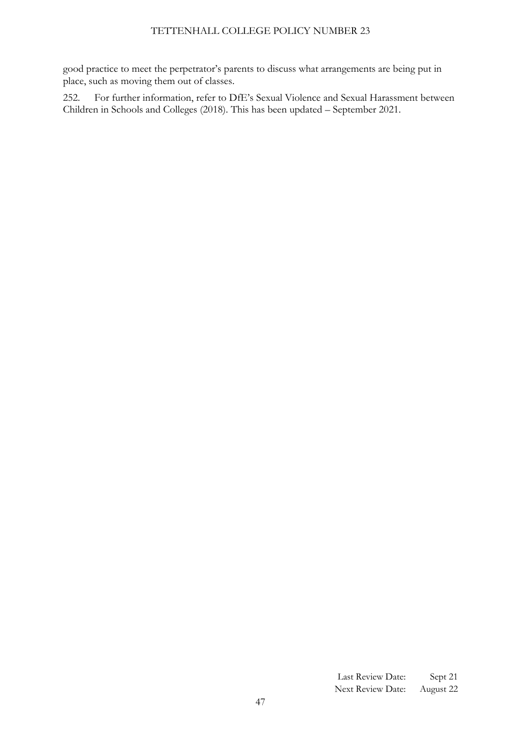good practice to meet the perpetrator's parents to discuss what arrangements are being put in place, such as moving them out of classes.

<span id="page-46-0"></span>252. For further information, refer to DfE's Sexual Violence and Sexual Harassment between Children in Schools and Colleges (2018). This has been updated – September 2021.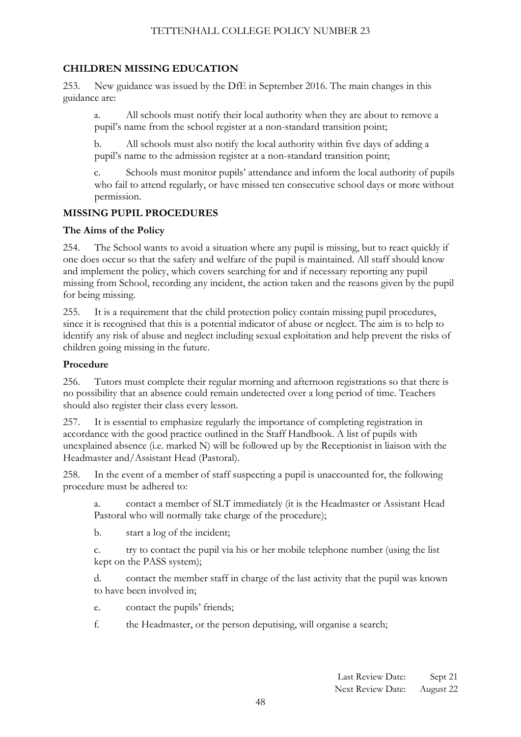# **CHILDREN MISSING EDUCATION**

253. New guidance was issued by the DfE in September 2016. The main changes in this guidance are:

a. All schools must notify their local authority when they are about to remove a pupil's name from the school register at a non-standard transition point;

b. All schools must also notify the local authority within five days of adding a pupil's name to the admission register at a non-standard transition point;

c. Schools must monitor pupils' attendance and inform the local authority of pupils who fail to attend regularly, or have missed ten consecutive school days or more without permission.

# **MISSING PUPIL PROCEDURES**

#### **The Aims of the Policy**

254. The School wants to avoid a situation where any pupil is missing, but to react quickly if one does occur so that the safety and welfare of the pupil is maintained. All staff should know and implement the policy, which covers searching for and if necessary reporting any pupil missing from School, recording any incident, the action taken and the reasons given by the pupil for being missing.

255. It is a requirement that the child protection policy contain missing pupil procedures, since it is recognised that this is a potential indicator of abuse or neglect. The aim is to help to identify any risk of abuse and neglect including sexual exploitation and help prevent the risks of children going missing in the future.

### **Procedure**

256. Tutors must complete their regular morning and afternoon registrations so that there is no possibility that an absence could remain undetected over a long period of time. Teachers should also register their class every lesson.

257. It is essential to emphasize regularly the importance of completing registration in accordance with the good practice outlined in the Staff Handbook. A list of pupils with unexplained absence (i.e. marked N) will be followed up by the Receptionist in liaison with the Headmaster and/Assistant Head (Pastoral).

258. In the event of a member of staff suspecting a pupil is unaccounted for, the following procedure must be adhered to:

a. contact a member of SLT immediately (it is the Headmaster or Assistant Head Pastoral who will normally take charge of the procedure);

b. start a log of the incident;

c. try to contact the pupil via his or her mobile telephone number (using the list kept on the PASS system);

d. contact the member staff in charge of the last activity that the pupil was known to have been involved in;

e. contact the pupils' friends;

f. the Headmaster, or the person deputising, will organise a search;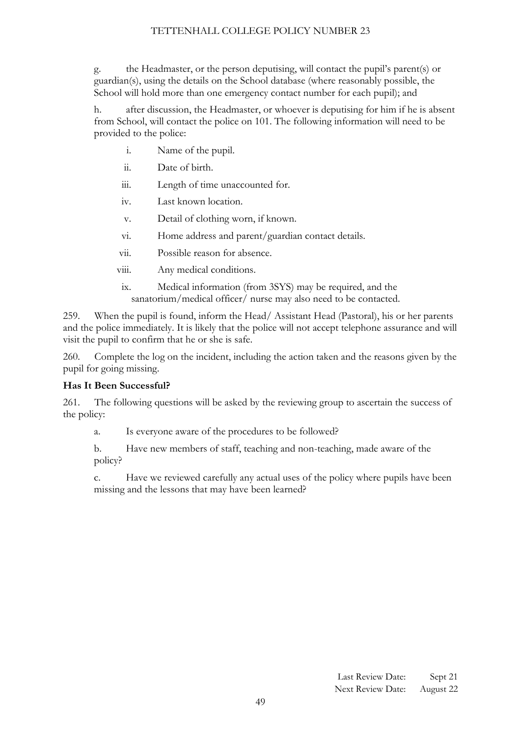g. the Headmaster, or the person deputising, will contact the pupil's parent(s) or guardian(s), using the details on the School database (where reasonably possible, the School will hold more than one emergency contact number for each pupil); and

h. after discussion, the Headmaster, or whoever is deputising for him if he is absent from School, will contact the police on 101. The following information will need to be provided to the police:

- i. Name of the pupil.
- ii. Date of birth.
- iii. Length of time unaccounted for.
- iv. Last known location.
- v. Detail of clothing worn, if known.
- vi. Home address and parent/guardian contact details.
- vii. Possible reason for absence.
- viii. Any medical conditions.
- ix. Medical information (from 3SYS) may be required, and the sanatorium/medical officer/ nurse may also need to be contacted.

259. When the pupil is found, inform the Head/ Assistant Head (Pastoral), his or her parents and the police immediately. It is likely that the police will not accept telephone assurance and will visit the pupil to confirm that he or she is safe.

260. Complete the log on the incident, including the action taken and the reasons given by the pupil for going missing.

# **Has It Been Successful?**

261. The following questions will be asked by the reviewing group to ascertain the success of the policy:

a. Is everyone aware of the procedures to be followed?

b. Have new members of staff, teaching and non-teaching, made aware of the policy?

c. Have we reviewed carefully any actual uses of the policy where pupils have been missing and the lessons that may have been learned?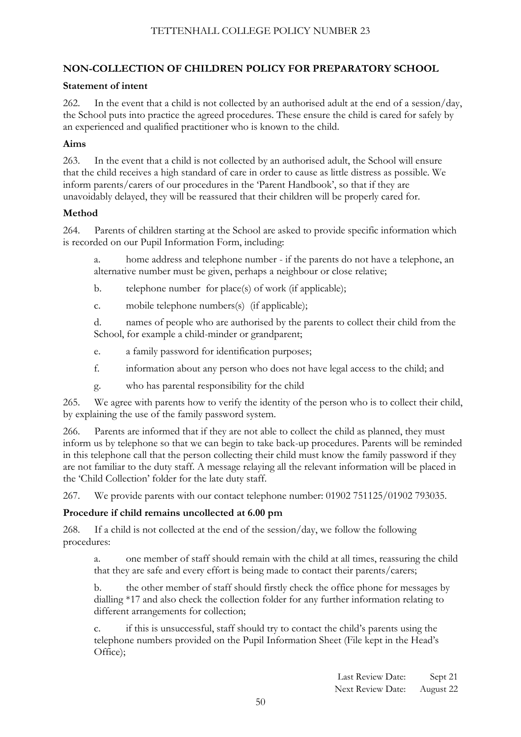# <span id="page-49-0"></span>**NON-COLLECTION OF CHILDREN POLICY FOR PREPARATORY SCHOOL**

#### **Statement of intent**

262. In the event that a child is not collected by an authorised adult at the end of a session/day, the School puts into practice the agreed procedures. These ensure the child is cared for safely by an experienced and qualified practitioner who is known to the child.

### **Aims**

263. In the event that a child is not collected by an authorised adult, the School will ensure that the child receives a high standard of care in order to cause as little distress as possible. We inform parents/carers of our procedures in the 'Parent Handbook', so that if they are unavoidably delayed, they will be reassured that their children will be properly cared for.

#### **Method**

264. Parents of children starting at the School are asked to provide specific information which is recorded on our Pupil Information Form, including:

a. home address and telephone number - if the parents do not have a telephone, an alternative number must be given, perhaps a neighbour or close relative;

b. telephone number for place(s) of work (if applicable);

c. mobile telephone numbers(s) (if applicable);

d. names of people who are authorised by the parents to collect their child from the School, for example a child-minder or grandparent;

- e. a family password for identification purposes;
- f. information about any person who does not have legal access to the child; and
- g. who has parental responsibility for the child

265. We agree with parents how to verify the identity of the person who is to collect their child, by explaining the use of the family password system.

266. Parents are informed that if they are not able to collect the child as planned, they must inform us by telephone so that we can begin to take back-up procedures. Parents will be reminded in this telephone call that the person collecting their child must know the family password if they are not familiar to the duty staff. A message relaying all the relevant information will be placed in the 'Child Collection' folder for the late duty staff.

267. We provide parents with our contact telephone number: 01902 751125/01902 793035.

# **Procedure if child remains uncollected at 6.00 pm**

268. If a child is not collected at the end of the session/day, we follow the following procedures:

a. one member of staff should remain with the child at all times, reassuring the child that they are safe and every effort is being made to contact their parents/carers;

b. the other member of staff should firstly check the office phone for messages by dialling \*17 and also check the collection folder for any further information relating to different arrangements for collection;

if this is unsuccessful, staff should try to contact the child's parents using the telephone numbers provided on the Pupil Information Sheet (File kept in the Head's Office);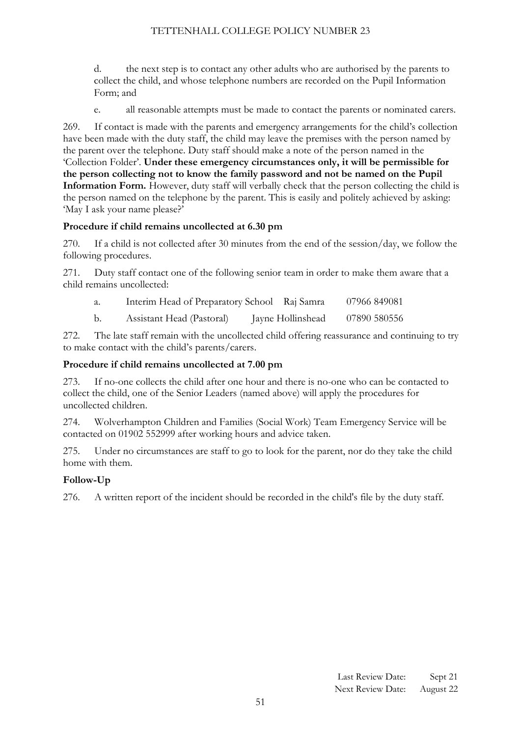d. the next step is to contact any other adults who are authorised by the parents to collect the child, and whose telephone numbers are recorded on the Pupil Information Form; and

e. all reasonable attempts must be made to contact the parents or nominated carers.

269. If contact is made with the parents and emergency arrangements for the child's collection have been made with the duty staff, the child may leave the premises with the person named by the parent over the telephone. Duty staff should make a note of the person named in the 'Collection Folder'. **Under these emergency circumstances only, it will be permissible for the person collecting not to know the family password and not be named on the Pupil Information Form.** However, duty staff will verbally check that the person collecting the child is the person named on the telephone by the parent. This is easily and politely achieved by asking: 'May I ask your name please?'

#### **Procedure if child remains uncollected at 6.30 pm**

270. If a child is not collected after 30 minutes from the end of the session/day, we follow the following procedures.

271. Duty staff contact one of the following senior team in order to make them aware that a child remains uncollected:

| a. |  | Interim Head of Preparatory School Raj Samra |  | 07966 849081 |
|----|--|----------------------------------------------|--|--------------|
|----|--|----------------------------------------------|--|--------------|

b. Assistant Head (Pastoral) Jayne Hollinshead 07890 580556

272. The late staff remain with the uncollected child offering reassurance and continuing to try to make contact with the child's parents/carers.

#### **Procedure if child remains uncollected at 7.00 pm**

273. If no-one collects the child after one hour and there is no-one who can be contacted to collect the child, one of the Senior Leaders (named above) will apply the procedures for uncollected children.

274. Wolverhampton Children and Families (Social Work) Team Emergency Service will be contacted on 01902 552999 after working hours and advice taken.

275. Under no circumstances are staff to go to look for the parent, nor do they take the child home with them.

# **Follow-Up**

276. A written report of the incident should be recorded in the child's file by the duty staff.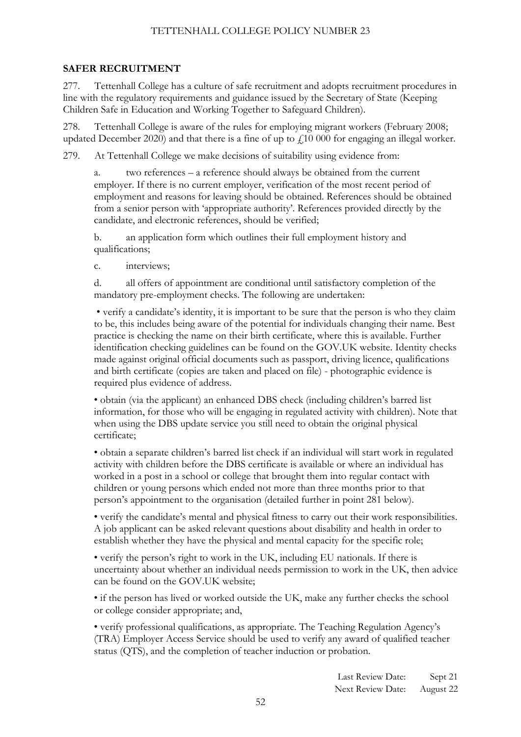#### <span id="page-51-0"></span>**SAFER RECRUITMENT**

277. Tettenhall College has a culture of safe recruitment and adopts recruitment procedures in line with the regulatory requirements and guidance issued by the Secretary of State (Keeping Children Safe in Education and Working Together to Safeguard Children).

278. Tettenhall College is aware of the rules for employing migrant workers (February 2008; updated December 2020) and that there is a fine of up to  $f<sub>i</sub>10 000$  for engaging an illegal worker.

279. At Tettenhall College we make decisions of suitability using evidence from:

a. two references – a reference should always be obtained from the current employer. If there is no current employer, verification of the most recent period of employment and reasons for leaving should be obtained. References should be obtained from a senior person with 'appropriate authority'. References provided directly by the candidate, and electronic references, should be verified;

b. an application form which outlines their full employment history and qualifications;

c. interviews;

d. all offers of appointment are conditional until satisfactory completion of the mandatory pre-employment checks. The following are undertaken:

• verify a candidate's identity, it is important to be sure that the person is who they claim to be, this includes being aware of the potential for individuals changing their name. Best practice is checking the name on their birth certificate, where this is available. Further identification checking guidelines can be found on the GOV.UK website. Identity checks made against original official documents such as passport, driving licence, qualifications and birth certificate (copies are taken and placed on file) - photographic evidence is required plus evidence of address.

• obtain (via the applicant) an enhanced DBS check (including children's barred list information, for those who will be engaging in regulated activity with children). Note that when using the DBS update service you still need to obtain the original physical certificate;

• obtain a separate children's barred list check if an individual will start work in regulated activity with children before the DBS certificate is available or where an individual has worked in a post in a school or college that brought them into regular contact with children or young persons which ended not more than three months prior to that person's appointment to the organisation (detailed further in point 281 below).

• verify the candidate's mental and physical fitness to carry out their work responsibilities. A job applicant can be asked relevant questions about disability and health in order to establish whether they have the physical and mental capacity for the specific role;

• verify the person's right to work in the UK, including EU nationals. If there is uncertainty about whether an individual needs permission to work in the UK, then advice can be found on the GOV.UK website;

• if the person has lived or worked outside the UK, make any further checks the school or college consider appropriate; and,

• verify professional qualifications, as appropriate. The Teaching Regulation Agency's (TRA) Employer Access Service should be used to verify any award of qualified teacher status (QTS), and the completion of teacher induction or probation.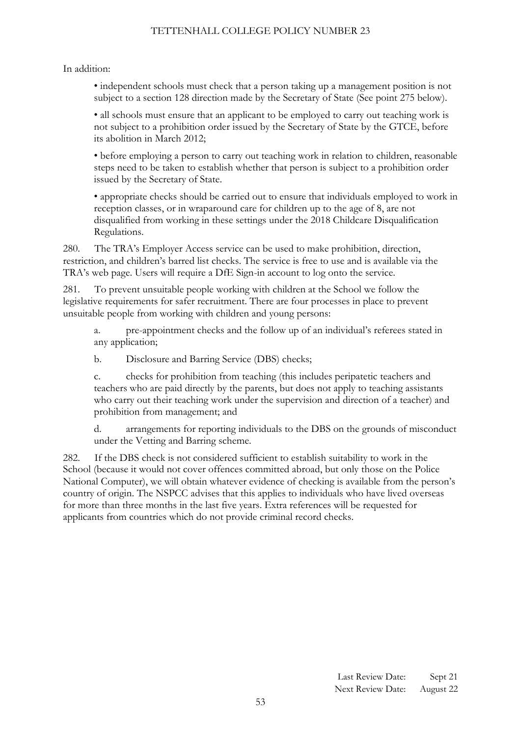In addition:

• independent schools must check that a person taking up a management position is not subject to a section 128 direction made by the Secretary of State (See point 275 below).

• all schools must ensure that an applicant to be employed to carry out teaching work is not subject to a prohibition order issued by the Secretary of State by the GTCE, before its abolition in March 2012;

• before employing a person to carry out teaching work in relation to children, reasonable steps need to be taken to establish whether that person is subject to a prohibition order issued by the Secretary of State.

• appropriate checks should be carried out to ensure that individuals employed to work in reception classes, or in wraparound care for children up to the age of 8, are not disqualified from working in these settings under the 2018 Childcare Disqualification Regulations.

280. The TRA's Employer Access service can be used to make prohibition, direction, restriction, and children's barred list checks. The service is free to use and is available via the TRA's web page. Users will require a DfE Sign-in account to log onto the service.

281. To prevent unsuitable people working with children at the School we follow the legislative requirements for safer recruitment. There are four processes in place to prevent unsuitable people from working with children and young persons:

a. pre-appointment checks and the follow up of an individual's referees stated in any application;

b. Disclosure and Barring Service (DBS) checks;

c. checks for prohibition from teaching (this includes peripatetic teachers and teachers who are paid directly by the parents, but does not apply to teaching assistants who carry out their teaching work under the supervision and direction of a teacher) and prohibition from management; and

d. arrangements for reporting individuals to the DBS on the grounds of misconduct under the Vetting and Barring scheme.

282. If the DBS check is not considered sufficient to establish suitability to work in the School (because it would not cover offences committed abroad, but only those on the Police National Computer), we will obtain whatever evidence of checking is available from the person's country of origin. The NSPCC advises that this applies to individuals who have lived overseas for more than three months in the last five years. Extra references will be requested for applicants from countries which do not provide criminal record checks.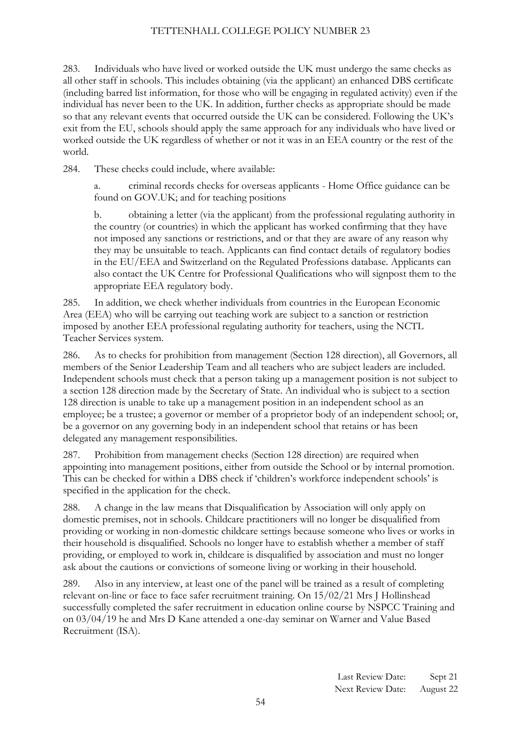283. Individuals who have lived or worked outside the UK must undergo the same checks as all other staff in schools. This includes obtaining (via the applicant) an enhanced DBS certificate (including barred list information, for those who will be engaging in regulated activity) even if the individual has never been to the UK. In addition, further checks as appropriate should be made so that any relevant events that occurred outside the UK can be considered. Following the UK's exit from the EU, schools should apply the same approach for any individuals who have lived or worked outside the UK regardless of whether or not it was in an EEA country or the rest of the world.

284. These checks could include, where available:

a. criminal records checks for overseas applicants - Home Office guidance can be found on GOV.UK; and for teaching positions

b. obtaining a letter (via the applicant) from the professional regulating authority in the country (or countries) in which the applicant has worked confirming that they have not imposed any sanctions or restrictions, and or that they are aware of any reason why they may be unsuitable to teach. Applicants can find contact details of regulatory bodies in the EU/EEA and Switzerland on the Regulated Professions database. Applicants can also contact the UK Centre for Professional Qualifications who will signpost them to the appropriate EEA regulatory body.

285. In addition, we check whether individuals from countries in the European Economic Area (EEA) who will be carrying out teaching work are subject to a sanction or restriction imposed by another EEA professional regulating authority for teachers, using the NCTL Teacher Services system.

286. As to checks for prohibition from management (Section 128 direction), all Governors, all members of the Senior Leadership Team and all teachers who are subject leaders are included. Independent schools must check that a person taking up a management position is not subject to a section 128 direction made by the Secretary of State. An individual who is subject to a section 128 direction is unable to take up a management position in an independent school as an employee; be a trustee; a governor or member of a proprietor body of an independent school; or, be a governor on any governing body in an independent school that retains or has been delegated any management responsibilities.

287. Prohibition from management checks (Section 128 direction) are required when appointing into management positions, either from outside the School or by internal promotion. This can be checked for within a DBS check if 'children's workforce independent schools' is specified in the application for the check.

288. A change in the law means that Disqualification by Association will only apply on domestic premises, not in schools. Childcare practitioners will no longer be disqualified from providing or working in non-domestic childcare settings because someone who lives or works in their household is disqualified. Schools no longer have to establish whether a member of staff providing, or employed to work in, childcare is disqualified by association and must no longer ask about the cautions or convictions of someone living or working in their household.

289. Also in any interview, at least one of the panel will be trained as a result of completing relevant on-line or face to face safer recruitment training. On 15/02/21 Mrs J Hollinshead successfully completed the safer recruitment in education online course by NSPCC Training and on 03/04/19 he and Mrs D Kane attended a one-day seminar on Warner and Value Based Recruitment (ISA).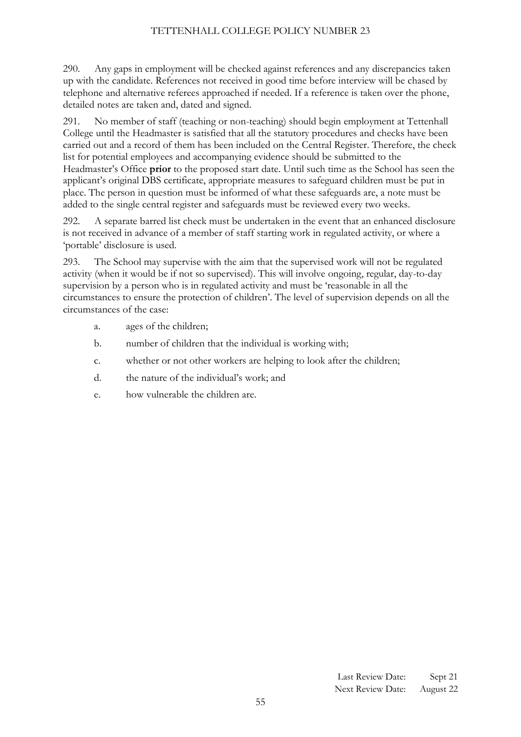290. Any gaps in employment will be checked against references and any discrepancies taken up with the candidate. References not received in good time before interview will be chased by telephone and alternative referees approached if needed. If a reference is taken over the phone, detailed notes are taken and, dated and signed.

291. No member of staff (teaching or non-teaching) should begin employment at Tettenhall College until the Headmaster is satisfied that all the statutory procedures and checks have been carried out and a record of them has been included on the Central Register. Therefore, the check list for potential employees and accompanying evidence should be submitted to the Headmaster's Office **prior** to the proposed start date. Until such time as the School has seen the applicant's original DBS certificate, appropriate measures to safeguard children must be put in place. The person in question must be informed of what these safeguards are, a note must be added to the single central register and safeguards must be reviewed every two weeks.

292. A separate barred list check must be undertaken in the event that an enhanced disclosure is not received in advance of a member of staff starting work in regulated activity, or where a 'portable' disclosure is used.

293. The School may supervise with the aim that the supervised work will not be regulated activity (when it would be if not so supervised). This will involve ongoing, regular, day-to-day supervision by a person who is in regulated activity and must be 'reasonable in all the circumstances to ensure the protection of children'. The level of supervision depends on all the circumstances of the case:

- a. ages of the children;
- b. number of children that the individual is working with;
- c. whether or not other workers are helping to look after the children;
- d. the nature of the individual's work; and
- e. how vulnerable the children are.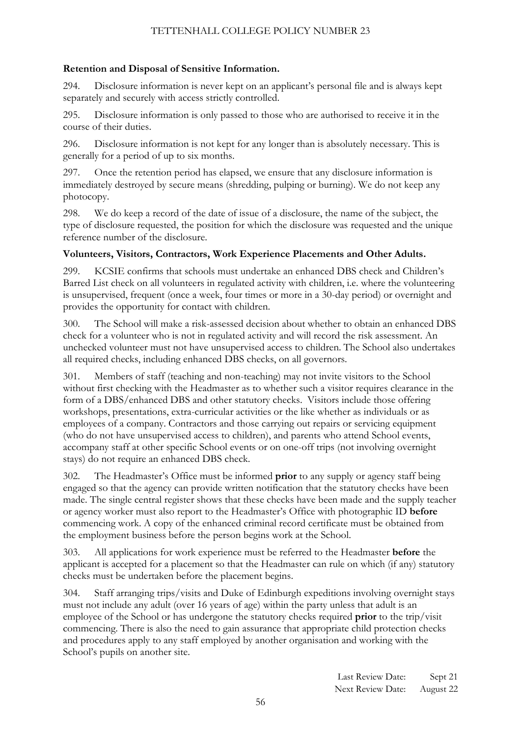# **Retention and Disposal of Sensitive Information.**

294. Disclosure information is never kept on an applicant's personal file and is always kept separately and securely with access strictly controlled.

295. Disclosure information is only passed to those who are authorised to receive it in the course of their duties.

296. Disclosure information is not kept for any longer than is absolutely necessary. This is generally for a period of up to six months.

297. Once the retention period has elapsed, we ensure that any disclosure information is immediately destroyed by secure means (shredding, pulping or burning). We do not keep any photocopy.

298. We do keep a record of the date of issue of a disclosure, the name of the subject, the type of disclosure requested, the position for which the disclosure was requested and the unique reference number of the disclosure.

# **Volunteers, Visitors, Contractors, Work Experience Placements and Other Adults.**

299. KCSIE confirms that schools must undertake an enhanced DBS check and Children's Barred List check on all volunteers in regulated activity with children, i.e. where the volunteering is unsupervised, frequent (once a week, four times or more in a 30-day period) or overnight and provides the opportunity for contact with children.

300. The School will make a risk-assessed decision about whether to obtain an enhanced DBS check for a volunteer who is not in regulated activity and will record the risk assessment. An unchecked volunteer must not have unsupervised access to children. The School also undertakes all required checks, including enhanced DBS checks, on all governors.

301. Members of staff (teaching and non-teaching) may not invite visitors to the School without first checking with the Headmaster as to whether such a visitor requires clearance in the form of a DBS/enhanced DBS and other statutory checks. Visitors include those offering workshops, presentations, extra-curricular activities or the like whether as individuals or as employees of a company. Contractors and those carrying out repairs or servicing equipment (who do not have unsupervised access to children), and parents who attend School events, accompany staff at other specific School events or on one-off trips (not involving overnight stays) do not require an enhanced DBS check.

302. The Headmaster's Office must be informed **prior** to any supply or agency staff being engaged so that the agency can provide written notification that the statutory checks have been made. The single central register shows that these checks have been made and the supply teacher or agency worker must also report to the Headmaster's Office with photographic ID **before** commencing work. A copy of the enhanced criminal record certificate must be obtained from the employment business before the person begins work at the School.

303. All applications for work experience must be referred to the Headmaster **before** the applicant is accepted for a placement so that the Headmaster can rule on which (if any) statutory checks must be undertaken before the placement begins.

304. Staff arranging trips/visits and Duke of Edinburgh expeditions involving overnight stays must not include any adult (over 16 years of age) within the party unless that adult is an employee of the School or has undergone the statutory checks required **prior** to the trip/visit commencing. There is also the need to gain assurance that appropriate child protection checks and procedures apply to any staff employed by another organisation and working with the School's pupils on another site.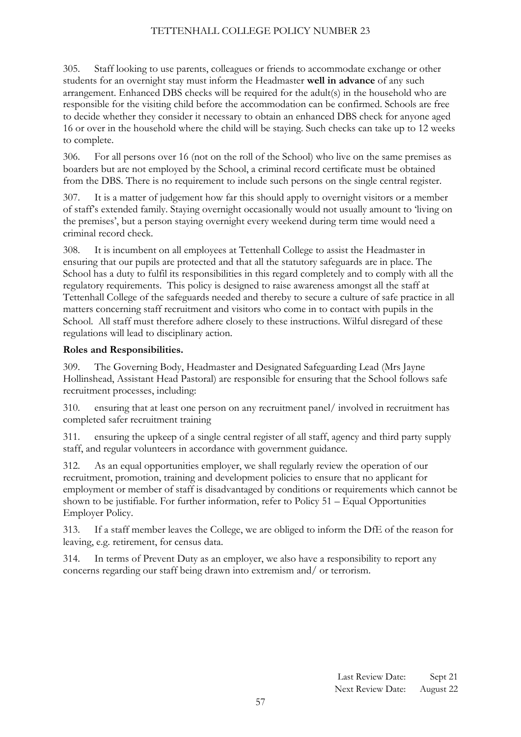305. Staff looking to use parents, colleagues or friends to accommodate exchange or other students for an overnight stay must inform the Headmaster **well in advance** of any such arrangement. Enhanced DBS checks will be required for the adult(s) in the household who are responsible for the visiting child before the accommodation can be confirmed. Schools are free to decide whether they consider it necessary to obtain an enhanced DBS check for anyone aged 16 or over in the household where the child will be staying. Such checks can take up to 12 weeks to complete.

306. For all persons over 16 (not on the roll of the School) who live on the same premises as boarders but are not employed by the School, a criminal record certificate must be obtained from the DBS. There is no requirement to include such persons on the single central register.

307. It is a matter of judgement how far this should apply to overnight visitors or a member of staff's extended family. Staying overnight occasionally would not usually amount to 'living on the premises', but a person staying overnight every weekend during term time would need a criminal record check.

308. It is incumbent on all employees at Tettenhall College to assist the Headmaster in ensuring that our pupils are protected and that all the statutory safeguards are in place. The School has a duty to fulfil its responsibilities in this regard completely and to comply with all the regulatory requirements. This policy is designed to raise awareness amongst all the staff at Tettenhall College of the safeguards needed and thereby to secure a culture of safe practice in all matters concerning staff recruitment and visitors who come in to contact with pupils in the School. All staff must therefore adhere closely to these instructions. Wilful disregard of these regulations will lead to disciplinary action.

#### **Roles and Responsibilities.**

309. The Governing Body, Headmaster and Designated Safeguarding Lead (Mrs Jayne Hollinshead, Assistant Head Pastoral) are responsible for ensuring that the School follows safe recruitment processes, including:

310. ensuring that at least one person on any recruitment panel/ involved in recruitment has completed safer recruitment training

311. ensuring the upkeep of a single central register of all staff, agency and third party supply staff, and regular volunteers in accordance with government guidance.

312. As an equal opportunities employer, we shall regularly review the operation of our recruitment, promotion, training and development policies to ensure that no applicant for employment or member of staff is disadvantaged by conditions or requirements which cannot be shown to be justifiable. For further information, refer to Policy 51 – Equal Opportunities Employer Policy.

313. If a staff member leaves the College, we are obliged to inform the DfE of the reason for leaving, e.g. retirement, for census data.

314. In terms of Prevent Duty as an employer, we also have a responsibility to report any concerns regarding our staff being drawn into extremism and/ or terrorism.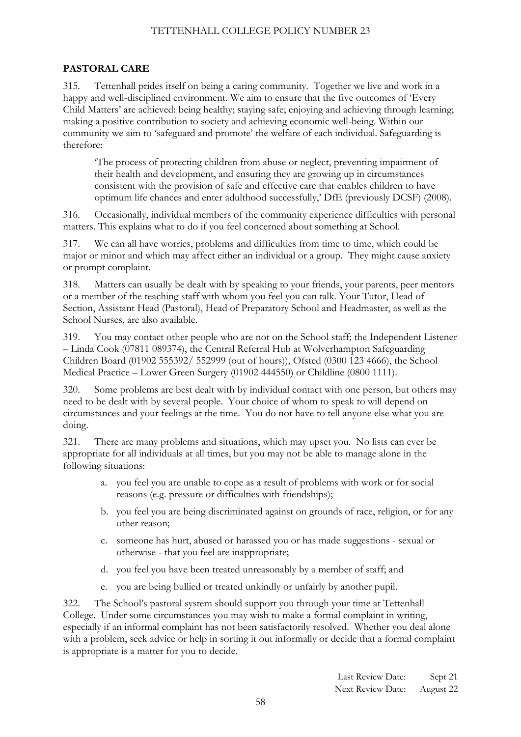#### <span id="page-57-0"></span>**PASTORAL CARE**

315. Tettenhall prides itself on being a caring community. Together we live and work in a happy and well-disciplined environment. We aim to ensure that the five outcomes of 'Every Child Matters' are achieved: being healthy; staying safe; enjoying and achieving through learning; making a positive contribution to society and achieving economic well-being. Within our community we aim to 'safeguard and promote' the welfare of each individual. Safeguarding is therefore:

'The process of protecting children from abuse or neglect, preventing impairment of their health and development, and ensuring they are growing up in circumstances consistent with the provision of safe and effective care that enables children to have optimum life chances and enter adulthood successfully,' DfE (previously DCSF) (2008).

316. Occasionally, individual members of the community experience difficulties with personal matters. This explains what to do if you feel concerned about something at School.

317. We can all have worries, problems and difficulties from time to time, which could be major or minor and which may affect either an individual or a group. They might cause anxiety or prompt complaint.

318. Matters can usually be dealt with by speaking to your friends, your parents, peer mentors or a member of the teaching staff with whom you feel you can talk. Your Tutor, Head of Section, Assistant Head (Pastoral), Head of Preparatory School and Headmaster, as well as the School Nurses, are also available.

319. You may contact other people who are not on the School staff; the Independent Listener – Linda Cook (07811 089374), the Central Referral Hub at Wolverhampton Safeguarding Children Board (01902 555392/ 552999 (out of hours)), Ofsted (0300 123 4666), the School Medical Practice – Lower Green Surgery (01902 444550) or Childline (0800 1111).

320. Some problems are best dealt with by individual contact with one person, but others may need to be dealt with by several people. Your choice of whom to speak to will depend on circumstances and your feelings at the time. You do not have to tell anyone else what you are doing.

321. There are many problems and situations, which may upset you. No lists can ever be appropriate for all individuals at all times, but you may not be able to manage alone in the following situations:

- a. you feel you are unable to cope as a result of problems with work or for social reasons (e.g. pressure or difficulties with friendships);
- b. you feel you are being discriminated against on grounds of race, religion, or for any other reason;
- c. someone has hurt, abused or harassed you or has made suggestions sexual or otherwise - that you feel are inappropriate;
- d. you feel you have been treated unreasonably by a member of staff; and
- e. you are being bullied or treated unkindly or unfairly by another pupil.

322. The School's pastoral system should support you through your time at Tettenhall College. Under some circumstances you may wish to make a formal complaint in writing, especially if an informal complaint has not been satisfactorily resolved. Whether you deal alone with a problem, seek advice or help in sorting it out informally or decide that a formal complaint is appropriate is a matter for you to decide.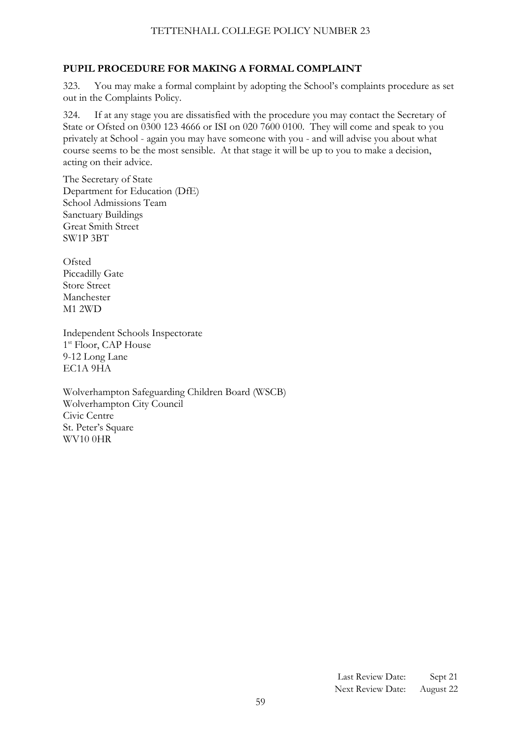# <span id="page-58-0"></span>**PUPIL PROCEDURE FOR MAKING A FORMAL COMPLAINT**

323. You may make a formal complaint by adopting the School's complaints procedure as set out in the Complaints Policy.

324. If at any stage you are dissatisfied with the procedure you may contact the Secretary of State or Ofsted on 0300 123 4666 or ISI on 020 7600 0100. They will come and speak to you privately at School - again you may have someone with you - and will advise you about what course seems to be the most sensible. At that stage it will be up to you to make a decision, acting on their advice.

The Secretary of State Department for Education (DfE) School Admissions Team Sanctuary Buildings Great Smith Street SW1P 3BT

Ofsted Piccadilly Gate Store Street Manchester M1 2WD

Independent Schools Inspectorate 1<sup>st</sup> Floor, CAP House 9-12 Long Lane EC1A 9HA

<span id="page-58-1"></span>Wolverhampton Safeguarding Children Board (WSCB) Wolverhampton City Council Civic Centre St. Peter's Square WV10 0HR